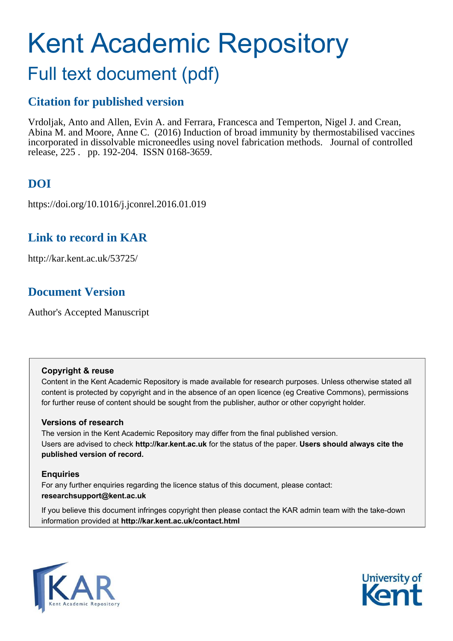# Kent Academic Repository

## Full text document (pdf)

### **Citation for published version**

Vrdoljak, Anto and Allen, Evin A. and Ferrara, Francesca and Temperton, Nigel J. and Crean, Abina M. and Moore, Anne C. (2016) Induction of broad immunity by thermostabilised vaccines incorporated in dissolvable microneedles using novel fabrication methods. Journal of controlled release, 225 . pp. 192-204. ISSN 0168-3659.

### **DOI**

https://doi.org/10.1016/j.jconrel.2016.01.019

### **Link to record in KAR**

http://kar.kent.ac.uk/53725/

### **Document Version**

Author's Accepted Manuscript

#### **Copyright & reuse**

Content in the Kent Academic Repository is made available for research purposes. Unless otherwise stated all content is protected by copyright and in the absence of an open licence (eg Creative Commons), permissions for further reuse of content should be sought from the publisher, author or other copyright holder.

#### **Versions of research**

The version in the Kent Academic Repository may differ from the final published version. Users are advised to check **http://kar.kent.ac.uk** for the status of the paper. **Users should always cite the published version of record.**

#### **Enquiries**

For any further enquiries regarding the licence status of this document, please contact: **researchsupport@kent.ac.uk**

If you believe this document infringes copyright then please contact the KAR admin team with the take-down information provided at **http://kar.kent.ac.uk/contact.html**



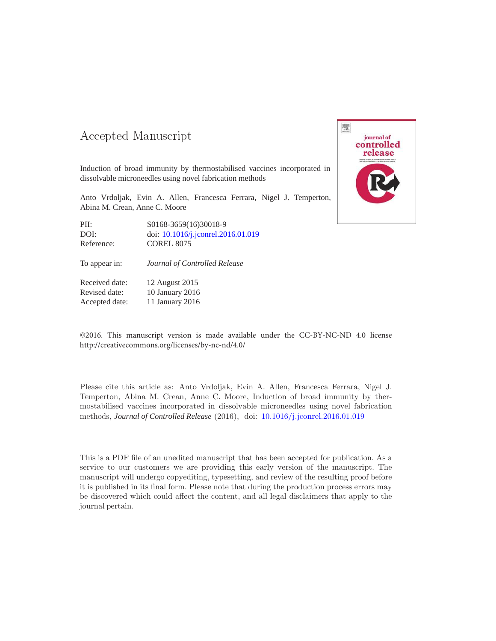### 

Induction of broad immunity by thermostabilised vaccines incorporated in dissolvable microneedles using novel fabrication methods

Anto Vrdoljak, Evin A. Allen, Francesca Ferrara, Nigel J. Temperton, Abina M. Crean, Anne C. Moore

| PII:       | S0168-3659(16)30018-9              |
|------------|------------------------------------|
| DOI:       | doi: 10.1016/j.jconrel.2016.01.019 |
| Reference: | <b>COREL 8075</b>                  |

To appear in: *Journal of Controlled Release*

Received date: 12 August 2015 Revised date: 10 January 2016 Accepted date: 11 January 2016

©2016. This manuscript version is made available under the CC-BY-NC-ND 4.0 license http://creativecommons.org/licenses/by-nc-nd/4.0/

Please cite this article as: Anto Vrdoljak, Evin A. Allen, Francesca Ferrara, Nigel J. Temperton, Abina M. Crean, Anne C. Moore, Induction of broad immunity by thermostabilised vaccines incorporated in dissolvable microneedles using novel fabrication methods, *Journal of Controlled Release* (2016), doi: 10.1016/j.jconrel.2016.01.019

This is a PDF file of an unedited manuscript that has been accepted for publication. As a service to our customers we are providing this early version of the manuscript. The manuscript will undergo copyediting, typesetting, and review of the resulting proof before it is published in its final form. Please note that during the production process errors may be discovered which could affect the content, and all legal disclaimers that apply to the journal pertain.

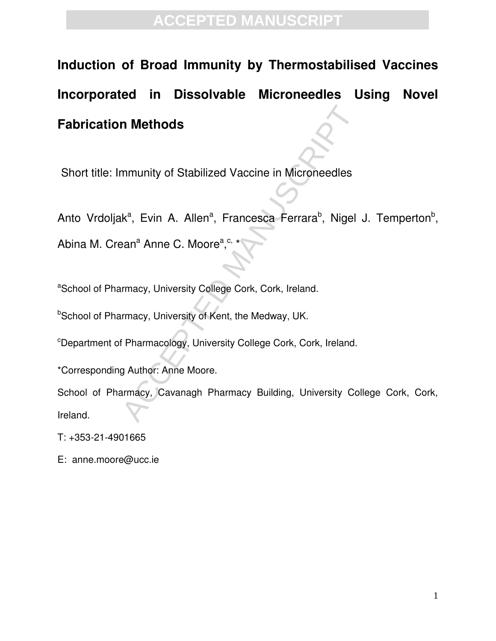# **Induction of Broad Immunity by Thermostabilised Vaccines Incorporated in Dissolvable Microneedles Using Novel Fabrication Methods**

Short title: Immunity of Stabilized Vaccine in Microneedles

Anto Vrdoljak<sup>a</sup>, Evin A. Allen<sup>a</sup>, Francesca Ferrara<sup>b</sup>, Nigel J. Temperton<sup>b</sup>,

Abina M. Crean<sup>a</sup> Anne C. Moore<sup>a</sup>,<sup>c, \*</sup>

aSchool of Pharmacy, University College Cork, Cork, Ireland.

**bSchool of Pharmacy, University of Kent, the Medway, UK.** 

<sup>c</sup>Department of Pharmacology, University College Cork, Cork, Ireland.

\*Corresponding Author: Anne Moore.

**n Methods**<br>
mmunity of Stabilized Vaccine in Microneedles<br>
k<sup>a</sup>, Evin A. Allen<sup>a</sup>, Francesca Ferrara<sup>b</sup>, Nigel<br>
ban<sup>a</sup> Anne C. Moore<sup>a</sup>,<sup>c, \*</sup><br>
rmacy, University College Cork, Cork, Ireland.<br>
rmacy, University of Kent, th School of Pharmacy, Cavanagh Pharmacy Building, University College Cork, Cork, Ireland.

T: +353-21-4901665

E: anne.moore@ucc.ie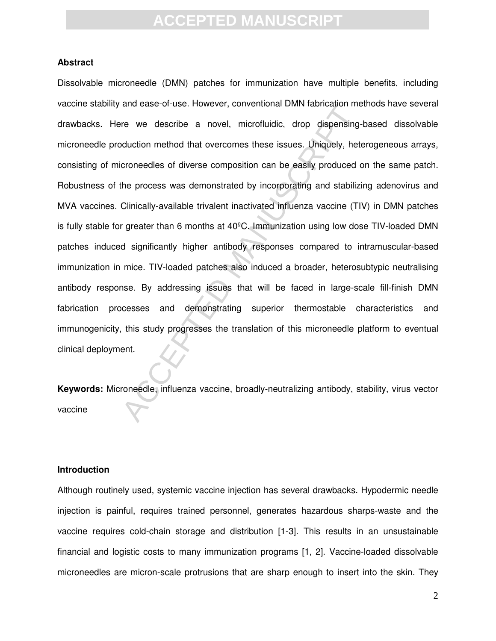#### **Abstract**

and ease-or-ase. Towever, conventional Divity radincation rife<br>re we describe a novel, microfluidic, drop dispensing<br>duction method that overcomes these issues. Uniquely, het<br>croneedles of diverse composition can be easily Dissolvable microneedle (DMN) patches for immunization have multiple benefits, including vaccine stability and ease-of-use. However, conventional DMN fabrication methods have several drawbacks. Here we describe a novel, microfluidic, drop dispensing-based dissolvable microneedle production method that overcomes these issues. Uniquely, heterogeneous arrays, consisting of microneedles of diverse composition can be easily produced on the same patch. Robustness of the process was demonstrated by incorporating and stabilizing adenovirus and MVA vaccines. Clinically-available trivalent inactivated influenza vaccine (TIV) in DMN patches is fully stable for greater than 6 months at 40ºC. Immunization using low dose TIV-loaded DMN patches induced significantly higher antibody responses compared to intramuscular-based immunization in mice. TIV-loaded patches also induced a broader, heterosubtypic neutralising antibody response. By addressing issues that will be faced in large-scale fill-finish DMN fabrication processes and demonstrating superior thermostable characteristics and immunogenicity, this study progresses the translation of this microneedle platform to eventual clinical deployment.

**Keywords:** Microneedle, influenza vaccine, broadly-neutralizing antibody, stability, virus vector vaccine

#### **Introduction**

Although routinely used, systemic vaccine injection has several drawbacks. Hypodermic needle injection is painful, requires trained personnel, generates hazardous sharps-waste and the vaccine requires cold-chain storage and distribution [1-3]. This results in an unsustainable financial and logistic costs to many immunization programs [1, 2]. Vaccine-loaded dissolvable microneedles are micron-scale protrusions that are sharp enough to insert into the skin. They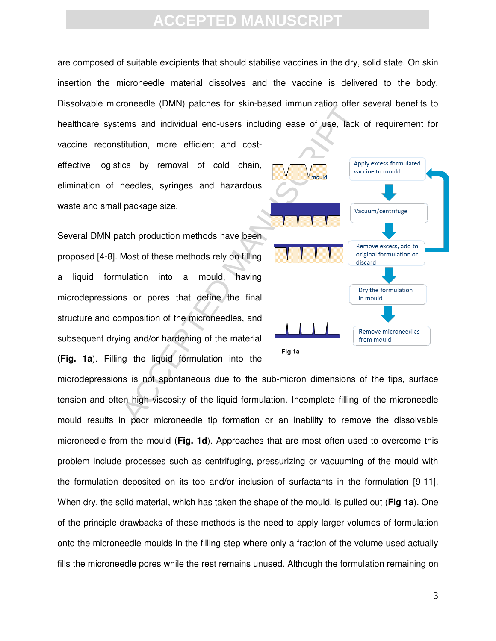are composed of suitable excipients that should stabilise vaccines in the dry, solid state. On skin insertion the microneedle material dissolves and the vaccine is delivered to the body. Dissolvable microneedle (DMN) patches for skin-based immunization offer several benefits to healthcare systems and individual end-users including ease of use, lack of requirement for

vaccine reconstitution, more efficient and costeffective logistics by removal of cold chain, elimination of needles, syringes and hazardous waste and small package size.

Several DMN patch production methods have been proposed [4-8]. Most of these methods rely on filling a liquid formulation into a mould, having microdepressions or pores that define the final structure and composition of the microneedles, and subsequent drying and/or hardening of the material **(Fig. 1a**). Filling the liquid formulation into the



microdepressions is not spontaneous due to the sub-micron dimensions of the tips, surface tension and often high viscosity of the liquid formulation. Incomplete filling of the microneedle mould results in poor microneedle tip formation or an inability to remove the dissolvable microneedle from the mould (**Fig. 1d**). Approaches that are most often used to overcome this problem include processes such as centrifuging, pressurizing or vacuuming of the mould with the formulation deposited on its top and/or inclusion of surfactants in the formulation [9-11]. When dry, the solid material, which has taken the shape of the mould, is pulled out (**Fig 1a**). One of the principle drawbacks of these methods is the need to apply larger volumes of formulation onto the microneedle moulds in the filling step where only a fraction of the volume used actually fills the microneedle pores while the rest remains unused. Although the formulation remaining on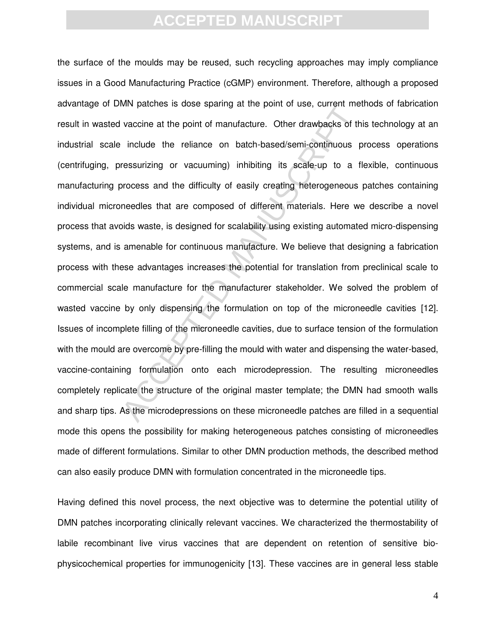which patteries is dose spanning at the point of dse, current me<br>vaccine at the point of manufacture. Other drawbacks of the<br>include the reliance on batch-based/semi-continuous pressurizing or vacuuming) inhibiting its sca the surface of the moulds may be reused, such recycling approaches may imply compliance issues in a Good Manufacturing Practice (cGMP) environment. Therefore, although a proposed advantage of DMN patches is dose sparing at the point of use, current methods of fabrication result in wasted vaccine at the point of manufacture. Other drawbacks of this technology at an industrial scale include the reliance on batch-based/semi-continuous process operations (centrifuging, pressurizing or vacuuming) inhibiting its scale-up to a flexible, continuous manufacturing process and the difficulty of easily creating heterogeneous patches containing individual microneedles that are composed of different materials. Here we describe a novel process that avoids waste, is designed for scalability using existing automated micro-dispensing systems, and is amenable for continuous manufacture. We believe that designing a fabrication process with these advantages increases the potential for translation from preclinical scale to commercial scale manufacture for the manufacturer stakeholder. We solved the problem of wasted vaccine by only dispensing the formulation on top of the microneedle cavities [12]. Issues of incomplete filling of the microneedle cavities, due to surface tension of the formulation with the mould are overcome by pre-filling the mould with water and dispensing the water-based, vaccine-containing formulation onto each microdepression. The resulting microneedles completely replicate the structure of the original master template; the DMN had smooth walls and sharp tips. As the microdepressions on these microneedle patches are filled in a sequential mode this opens the possibility for making heterogeneous patches consisting of microneedles made of different formulations. Similar to other DMN production methods, the described method can also easily produce DMN with formulation concentrated in the microneedle tips.

Having defined this novel process, the next objective was to determine the potential utility of DMN patches incorporating clinically relevant vaccines. We characterized the thermostability of labile recombinant live virus vaccines that are dependent on retention of sensitive biophysicochemical properties for immunogenicity [13]. These vaccines are in general less stable

4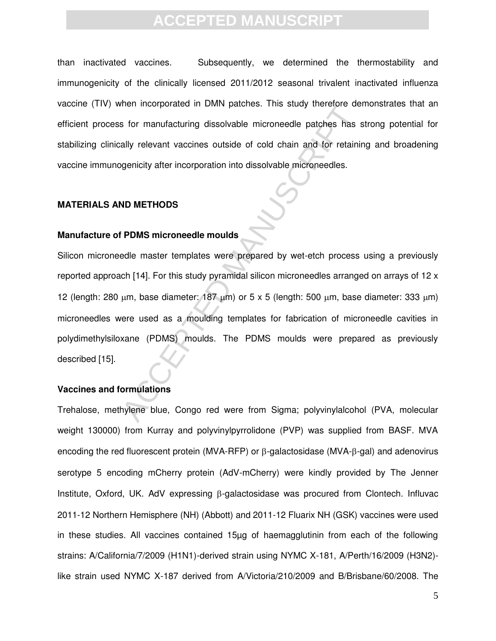than inactivated vaccines. Subsequently, we determined the thermostability and immunogenicity of the clinically licensed 2011/2012 seasonal trivalent inactivated influenza vaccine (TIV) when incorporated in DMN patches. This study therefore demonstrates that an efficient process for manufacturing dissolvable microneedle patches has strong potential for stabilizing clinically relevant vaccines outside of cold chain and for retaining and broadening vaccine immunogenicity after incorporation into dissolvable microneedles.

#### **MATERIALS AND METHODS**

#### **Manufacture of PDMS microneedle moulds**

men incorporated in Divity patches. This study interiore de-<br>S for manufacturing dissolvable microneedle patches has<br>ally relevant vaccines outside of cold chain and for retaining<br>enicity after incorporation into dissolvab Silicon microneedle master templates were prepared by wet-etch process using a previously reported approach [14]. For this study pyramidal silicon microneedles arranged on arrays of 12 x 12 (length: 280  $\mu$ m, base diameter: 187  $\mu$ m) or 5 x 5 (length: 500  $\mu$ m, base diameter: 333  $\mu$ m) microneedles were used as a moulding templates for fabrication of microneedle cavities in polydimethylsiloxane (PDMS) moulds. The PDMS moulds were prepared as previously described [15].

#### **Vaccines and formulations**

Trehalose, methylene blue, Congo red were from Sigma; polyvinylalcohol (PVA, molecular weight 130000) from Kurray and polyvinylpyrrolidone (PVP) was supplied from BASF. MVA encoding the red fluorescent protein (MVA-RFP) or  $\beta$ -galactosidase (MVA- $\beta$ -gal) and adenovirus serotype 5 encoding mCherry protein (AdV-mCherry) were kindly provided by The Jenner Institute, Oxford, UK. AdV expressing  $\beta$ -galactosidase was procured from Clontech. Influvac 2011-12 Northern Hemisphere (NH) (Abbott) and 2011-12 Fluarix NH (GSK) vaccines were used in these studies. All vaccines contained 15µg of haemagglutinin from each of the following strains: A/California/7/2009 (H1N1)-derived strain using NYMC X-181, A/Perth/16/2009 (H3N2) like strain used NYMC X-187 derived from A/Victoria/210/2009 and B/Brisbane/60/2008. The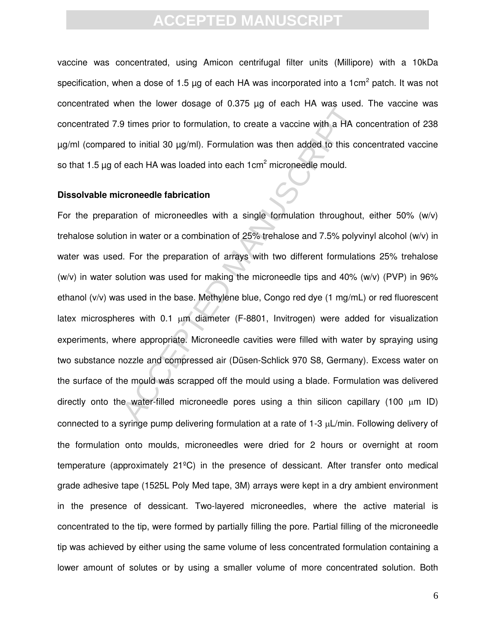vaccine was concentrated, using Amicon centrifugal filter units (Millipore) with a 10kDa specification, when a dose of 1.5  $\mu$ g of each HA was incorporated into a 1cm<sup>2</sup> patch. It was not concentrated when the lower dosage of 0.375 µg of each HA was used. The vaccine was concentrated 7.9 times prior to formulation, to create a vaccine with a HA concentration of 238 µg/ml (compared to initial 30 µg/ml). Formulation was then added to this concentrated vaccine so that 1.5  $\mu$ g of each HA was loaded into each 1 $\text{cm}^2$  microneedle mould.

#### **Dissolvable microneedle fabrication**

Bert the lower dosage of 0.575 μg of each FIR was used<br>9 times prior to formulation, to create a vaccine with a HA c<br>d to initial 30 μg/ml). Formulation was then added to this cc<br>feach HA was loaded into each 1cm<sup>2</sup> micro For the preparation of microneedles with a single formulation throughout, either 50% (w/v) trehalose solution in water or a combination of 25% trehalose and 7.5% polyvinyl alcohol (w/v) in water was used. For the preparation of arrays with two different formulations 25% trehalose (w/v) in water solution was used for making the microneedle tips and 40% (w/v) (PVP) in 96% ethanol (v/v) was used in the base. Methylene blue, Congo red dye (1 mg/mL) or red fluorescent latex microspheres with  $0.1 \mu m$  diameter (F-8801, Invitrogen) were added for visualization experiments, where appropriate. Microneedle cavities were filled with water by spraying using two substance nozzle and compressed air (Düsen-Schlick 970 S8, Germany). Excess water on the surface of the mould was scrapped off the mould using a blade. Formulation was delivered directly onto the water-filled microneedle pores using a thin silicon capillary (100  $\mu$ m ID) connected to a syringe pump delivering formulation at a rate of 1-3  $\mu$ L/min. Following delivery of the formulation onto moulds, microneedles were dried for 2 hours or overnight at room temperature (approximately 21ºC) in the presence of dessicant. After transfer onto medical grade adhesive tape (1525L Poly Med tape, 3M) arrays were kept in a dry ambient environment in the presence of dessicant. Two-layered microneedles, where the active material is concentrated to the tip, were formed by partially filling the pore. Partial filling of the microneedle tip was achieved by either using the same volume of less concentrated formulation containing a lower amount of solutes or by using a smaller volume of more concentrated solution. Both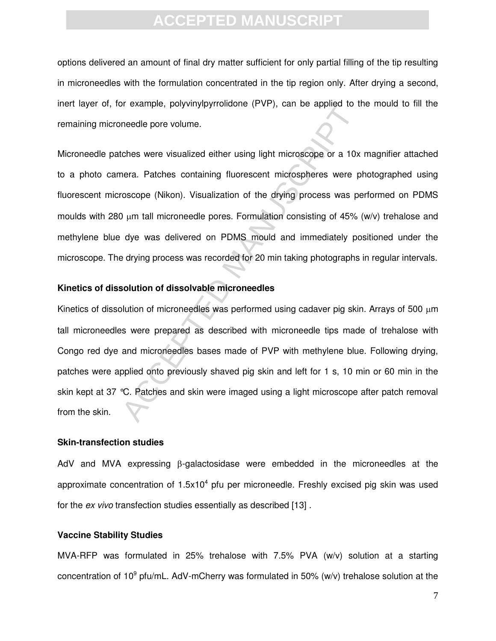options delivered an amount of final dry matter sufficient for only partial filling of the tip resulting in microneedles with the formulation concentrated in the tip region only. After drying a second, inert layer of, for example, polyvinylpyrrolidone (PVP), can be applied to the mould to fill the remaining microneedle pore volume.

Microneedle patches were visualized either using light microscope or a 10x magnifier attached to a photo camera. Patches containing fluorescent microspheres were photographed using fluorescent microscope (Nikon). Visualization of the drying process was performed on PDMS moulds with 280  $\mu$ m tall microneedle pores. Formulation consisting of 45% (w/v) trehalose and methylene blue dye was delivered on PDMS mould and immediately positioned under the microscope. The drying process was recorded for 20 min taking photographs in regular intervals.

#### **Kinetics of dissolution of dissolvable microneedles**

The sample, polytifying that the two ytimates (TVT), can be applied to the<br>needle pore volume.<br>These serve visualized either using light microscope or a 10x<br>nera. Patches containing fluorescent microspheres were p<br>oscope ( Kinetics of dissolution of microneedles was performed using cadaver pig skin. Arrays of 500  $\mu$ m tall microneedles were prepared as described with microneedle tips made of trehalose with Congo red dye and microneedles bases made of PVP with methylene blue. Following drying, patches were applied onto previously shaved pig skin and left for 1 s, 10 min or 60 min in the skin kept at 37 °C. Patches and skin were imaged using a light microscope after patch removal from the skin.

#### **Skin-transfection studies**

AdV and MVA expressing  $\beta$ -galactosidase were embedded in the microneedles at the approximate concentration of  $1.5x10<sup>4</sup>$  pfu per microneedle. Freshly excised pig skin was used for the *ex vivo* transfection studies essentially as described [13] .

#### **Vaccine Stability Studies**

MVA-RFP was formulated in 25% trehalose with 7.5% PVA (w/v) solution at a starting concentration of 10<sup>9</sup> pfu/mL. AdV-mCherry was formulated in 50% (w/v) trehalose solution at the

7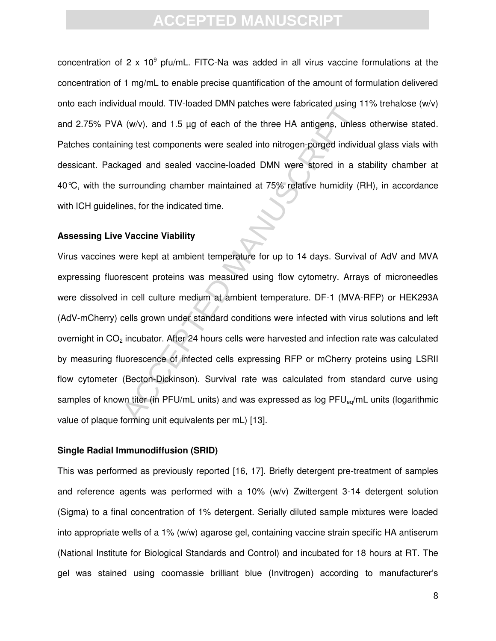concentration of 2 x 10<sup>9</sup> pfu/mL. FITC-Na was added in all virus vaccine formulations at the concentration of 1 mg/mL to enable precise quantification of the amount of formulation delivered onto each individual mould. TIV-loaded DMN patches were fabricated using 11% trehalose (w/v) and 2.75% PVA (w/v), and 1.5 µg of each of the three HA antigens, unless otherwise stated. Patches containing test components were sealed into nitrogen-purged individual glass vials with dessicant. Packaged and sealed vaccine-loaded DMN were stored in a stability chamber at 40°C, with the surrounding chamber maintained at 75% relative humidity (RH), in accordance with ICH guidelines, for the indicated time.

#### **Assessing Live Vaccine Viability**

Newton, and 1.5 pg of each of the three HA antigens, unlessing 1 (w/v), and 1.5 pg of each of the three HA antigens, unlessing test components were sealed into nitrogen-purged indivividenced and sealed vaccine-loaded DMN w Virus vaccines were kept at ambient temperature for up to 14 days. Survival of AdV and MVA expressing fluorescent proteins was measured using flow cytometry. Arrays of microneedles were dissolved in cell culture medium at ambient temperature. DF-1 (MVA-RFP) or HEK293A (AdV-mCherry) cells grown under standard conditions were infected with virus solutions and left overnight in CO<sub>2</sub> incubator. After 24 hours cells were harvested and infection rate was calculated by measuring fluorescence of infected cells expressing RFP or mCherry proteins using LSRII flow cytometer (Becton-Dickinson). Survival rate was calculated from standard curve using samples of known titer (in PFU/mL units) and was expressed as log PFU<sub>eq</sub>/mL units (logarithmic value of plaque forming unit equivalents per mL) [13].

#### **Single Radial Immunodiffusion (SRID)**

This was performed as previously reported [16, 17]. Briefly detergent pre-treatment of samples and reference agents was performed with a 10% (w/v) Zwittergent 3-14 detergent solution (Sigma) to a final concentration of 1% detergent. Serially diluted sample mixtures were loaded into appropriate wells of a 1% (w/w) agarose gel, containing vaccine strain specific HA antiserum (National Institute for Biological Standards and Control) and incubated for 18 hours at RT. The gel was stained using coomassie brilliant blue (Invitrogen) according to manufacturer's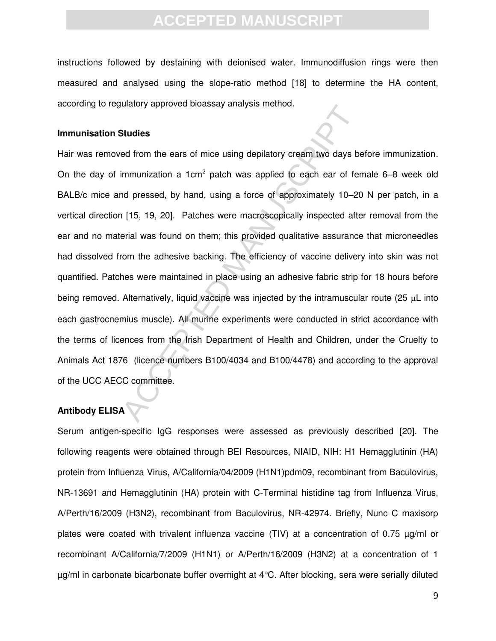instructions followed by destaining with deionised water. Immunodiffusion rings were then measured and analysed using the slope-ratio method [18] to determine the HA content, according to regulatory approved bioassay analysis method.

#### **Immunisation Studies**

Studies<br>
Ed from the ears of mice using depilatory cream two days bin<br>
immunization a 1cm<sup>2</sup> patch was applied to each ear of fer-<br>
al pressed, by hand, using a force of approximately 10–20<br>
1[15, 19, 20]. Patches were mac Hair was removed from the ears of mice using depilatory cream two days before immunization. On the day of immunization a 1cm<sup>2</sup> patch was applied to each ear of female 6–8 week old BALB/c mice and pressed, by hand, using a force of approximately 10–20 N per patch, in a vertical direction [15, 19, 20]. Patches were macroscopically inspected after removal from the ear and no material was found on them; this provided qualitative assurance that microneedles had dissolved from the adhesive backing. The efficiency of vaccine delivery into skin was not quantified. Patches were maintained in place using an adhesive fabric strip for 18 hours before being removed. Alternatively, liquid vaccine was injected by the intramuscular route (25  $\mu$ L into each gastrocnemius muscle). All murine experiments were conducted in strict accordance with the terms of licences from the Irish Department of Health and Children, under the Cruelty to Animals Act 1876 (licence numbers B100/4034 and B100/4478) and according to the approval of the UCC AECC committee.

#### **Antibody ELISA**

Serum antigen-specific IgG responses were assessed as previously described [20]. The following reagents were obtained through BEI Resources, NIAID, NIH: H1 Hemagglutinin (HA) protein from Influenza Virus, A/California/04/2009 (H1N1)pdm09, recombinant from Baculovirus, NR-13691 and Hemagglutinin (HA) protein with C-Terminal histidine tag from Influenza Virus, A/Perth/16/2009 (H3N2), recombinant from Baculovirus, NR-42974. Briefly, Nunc C maxisorp plates were coated with trivalent influenza vaccine (TIV) at a concentration of 0.75 µg/ml or recombinant A/California/7/2009 (H1N1) or A/Perth/16/2009 (H3N2) at a concentration of 1 µg/ml in carbonate bicarbonate buffer overnight at 4°C. After blocking, sera were serially diluted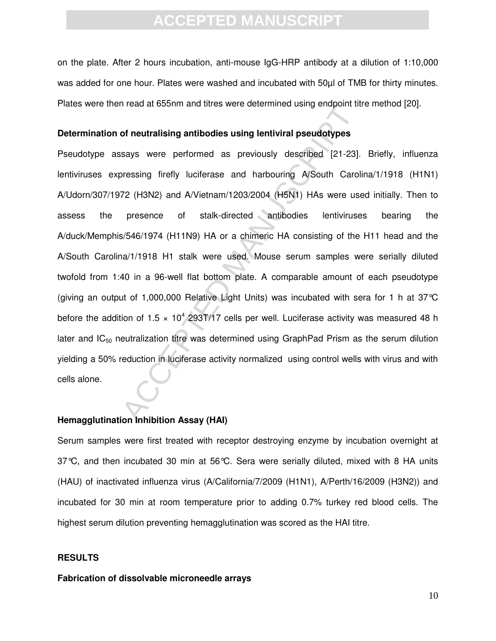on the plate. After 2 hours incubation, anti-mouse IgG-HRP antibody at a dilution of 1:10,000 was added for one hour. Plates were washed and incubated with 50µl of TMB for thirty minutes. Plates were then read at 655nm and titres were determined using endpoint titre method [20].

#### **Determination of neutralising antibodies using lentiviral pseudotypes**

orietal at obsolution and thres were determined daing endpoint in<br>of neutralising antibodies using lentiviral pseudotypes<br>says were performed as previously described [21-23].<br>Pressing firefly luciferase and harbouring A/So Pseudotype assays were performed as previously described [21-23]. Briefly, influenza lentiviruses expressing firefly luciferase and harbouring A/South Carolina/1/1918 (H1N1) A/Udorn/307/1972 (H3N2) and A/Vietnam/1203/2004 (H5N1) HAs were used initially. Then to assess the presence of stalk-directed antibodies lentiviruses bearing the A/duck/Memphis/546/1974 (H11N9) HA or a chimeric HA consisting of the H11 head and the A/South Carolina/1/1918 H1 stalk were used. Mouse serum samples were serially diluted twofold from 1:40 in a 96-well flat bottom plate. A comparable amount of each pseudotype (giving an output of 1,000,000 Relative Light Units) was incubated with sera for 1 h at 37°C before the addition of 1.5  $\times$  10<sup>4</sup> 293T/17 cells per well. Luciferase activity was measured 48 h later and  $IC_{50}$  neutralization titre was determined using GraphPad Prism as the serum dilution yielding a 50% reduction in luciferase activity normalized using control wells with virus and with cells alone.

#### **Hemagglutination Inhibition Assay (HAI)**

Serum samples were first treated with receptor destroying enzyme by incubation overnight at 37°C, and then incubated 30 min at 56°C. Sera were serially diluted, mixed with 8 HA units (HAU) of inactivated influenza virus (A/California/7/2009 (H1N1), A/Perth/16/2009 (H3N2)) and incubated for 30 min at room temperature prior to adding 0.7% turkey red blood cells. The highest serum dilution preventing hemagglutination was scored as the HAI titre.

#### **RESULTS**

#### **Fabrication of dissolvable microneedle arrays**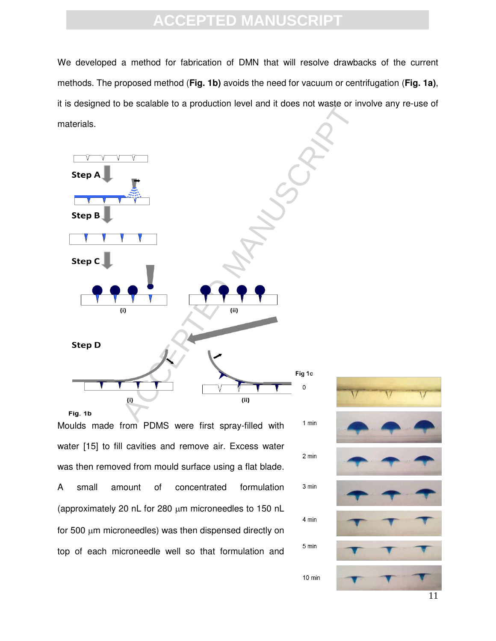We developed a method for fabrication of DMN that will resolve drawbacks of the current methods. The proposed method (**Fig. 1b)** avoids the need for vacuum or centrifugation (**Fig. 1a)**, it is designed to be scalable to a production level and it does not waste or involve any re-use of materials.



Moulds made from PDMS were first spray-filled with water [15] to fill cavities and remove air. Excess water was then removed from mould surface using a flat blade. A small amount of concentrated formulation (approximately 20 nL for 280  $\mu$ m microneedles to 150 nL for 500  $\mu$ m microneedles) was then dispensed directly on top of each microneedle well so that formulation and



2 min

3 min

4 min

5 min

 $10 \text{ min}$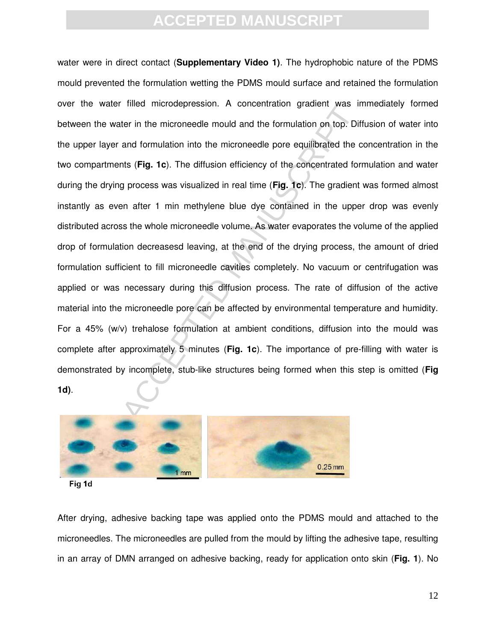Inned interdeptession. A concentration gradient was inter in the microneedle mould and the formulation on top. Different and formulation into the microneedle pore equilibrated the ints (Fig. 1c). The diffusion efficiency o water were in direct contact (**Supplementary Video 1)**. The hydrophobic nature of the PDMS mould prevented the formulation wetting the PDMS mould surface and retained the formulation over the water filled microdepression. A concentration gradient was immediately formed between the water in the microneedle mould and the formulation on top. Diffusion of water into the upper layer and formulation into the microneedle pore equilibrated the concentration in the two compartments (**Fig. 1c**). The diffusion efficiency of the concentrated formulation and water during the drying process was visualized in real time (**Fig. 1c**). The gradient was formed almost instantly as even after 1 min methylene blue dye contained in the upper drop was evenly distributed across the whole microneedle volume. As water evaporates the volume of the applied drop of formulation decreasesd leaving, at the end of the drying process, the amount of dried formulation sufficient to fill microneedle cavities completely. No vacuum or centrifugation was applied or was necessary during this diffusion process. The rate of diffusion of the active material into the microneedle pore can be affected by environmental temperature and humidity. For a 45% (w/v) trehalose formulation at ambient conditions, diffusion into the mould was complete after approximately 5 minutes (**Fig. 1c**). The importance of pre-filling with water is demonstrated by incomplete, stub-like structures being formed when this step is omitted (**Fig 1d)**.



Fig 1d

After drying, adhesive backing tape was applied onto the PDMS mould and attached to the microneedles. The microneedles are pulled from the mould by lifting the adhesive tape, resulting in an array of DMN arranged on adhesive backing, ready for application onto skin (**Fig. 1**). No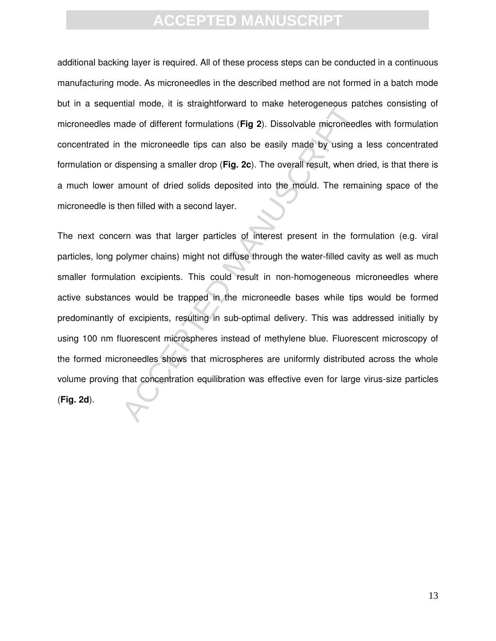additional backing layer is required. All of these process steps can be conducted in a continuous manufacturing mode. As microneedles in the described method are not formed in a batch mode but in a sequential mode, it is straightforward to make heterogeneous patches consisting of microneedles made of different formulations (**Fig 2**). Dissolvable microneedles with formulation concentrated in the microneedle tips can also be easily made by using a less concentrated formulation or dispensing a smaller drop (**Fig. 2c**). The overall result, when dried, is that there is a much lower amount of dried solids deposited into the mould. The remaining space of the microneedle is then filled with a second layer.

man mode, it is straty/information to make interrugeneeds parade of different formulations (Fig 2). Dissolvable microneed the microneedle tips can also be easily made by using a ispensing a smaller drop (Fig. 2c). The over The next concern was that larger particles of interest present in the formulation (e.g. viral particles, long polymer chains) might not diffuse through the water-filled cavity as well as much smaller formulation excipients. This could result in non-homogeneous microneedles where active substances would be trapped in the microneedle bases while tips would be formed predominantly of excipients, resulting in sub-optimal delivery. This was addressed initially by using 100 nm fluorescent microspheres instead of methylene blue. Fluorescent microscopy of the formed microneedles shows that microspheres are uniformly distributed across the whole volume proving that concentration equilibration was effective even for large virus-size particles (**Fig. 2d**).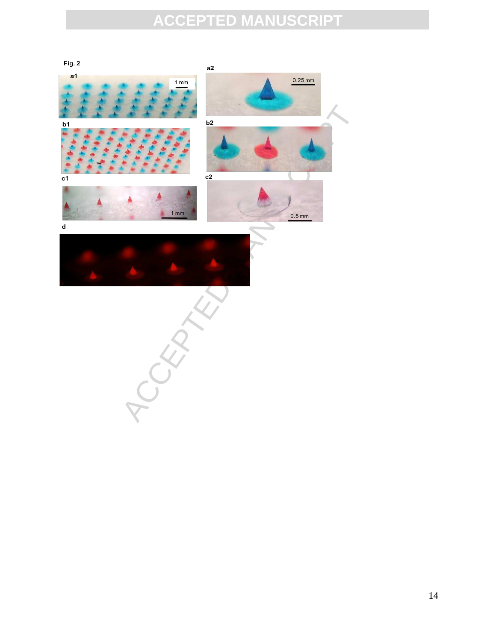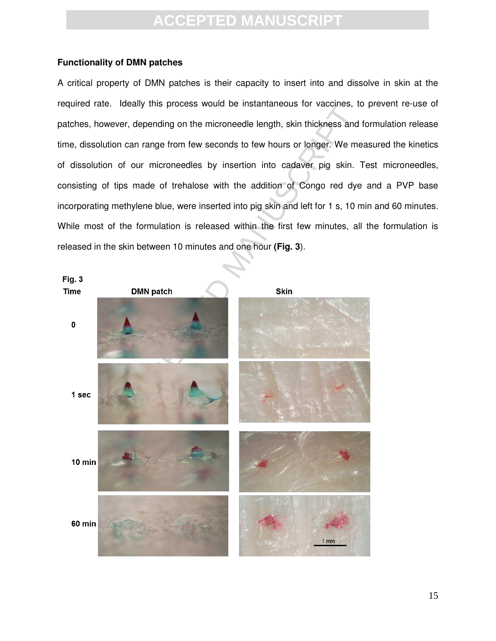#### **Functionality of DMN patches**

A critical property of DMN patches is their capacity to insert into and dissolve in skin at the required rate. Ideally this process would be instantaneous for vaccines, to prevent re-use of patches, however, depending on the microneedle length, skin thickness and formulation release time, dissolution can range from few seconds to few hours or longer. We measured the kinetics of dissolution of our microneedles by insertion into cadaver pig skin. Test microneedles, consisting of tips made of trehalose with the addition of Congo red dye and a PVP base incorporating methylene blue, were inserted into pig skin and left for 1 s, 10 min and 60 minutes. While most of the formulation is released within the first few minutes, all the formulation is released in the skin between 10 minutes and one hour **(Fig. 3**).

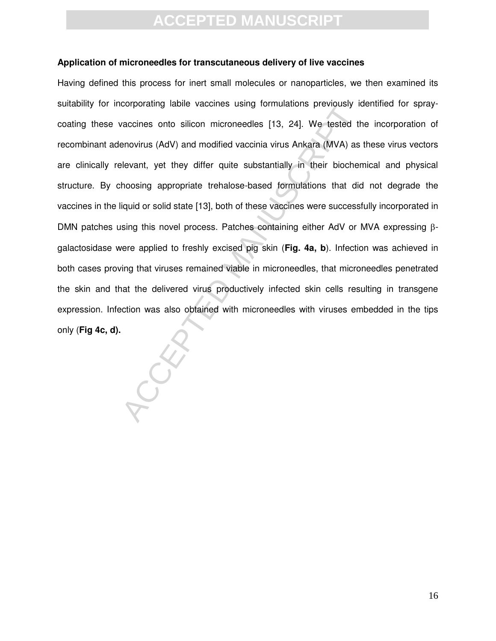#### **Application of microneedles for transcutaneous delivery of live vaccines**

production and modified vaccines dainy infinitedness between y acceles the provided behovirus (AdV) and modified vaccinia virus Ankara (MVA) as levant, yet they differ quite substantially in their biocher hoosing appropria Having defined this process for inert small molecules or nanoparticles, we then examined its suitability for incorporating labile vaccines using formulations previously identified for spraycoating these vaccines onto silicon microneedles [13, 24]. We tested the incorporation of recombinant adenovirus (AdV) and modified vaccinia virus Ankara (MVA) as these virus vectors are clinically relevant, yet they differ quite substantially in their biochemical and physical structure. By choosing appropriate trehalose-based formulations that did not degrade the vaccines in the liquid or solid state [13], both of these vaccines were successfully incorporated in DMN patches using this novel process. Patches containing either AdV or MVA expressing  $\beta$ galactosidase were applied to freshly excised pig skin (**Fig. 4a, b**). Infection was achieved in both cases proving that viruses remained viable in microneedles, that microneedles penetrated the skin and that the delivered virus productively infected skin cells resulting in transgene expression. Infection was also obtained with microneedles with viruses embedded in the tips only (**Fig 4c, d).**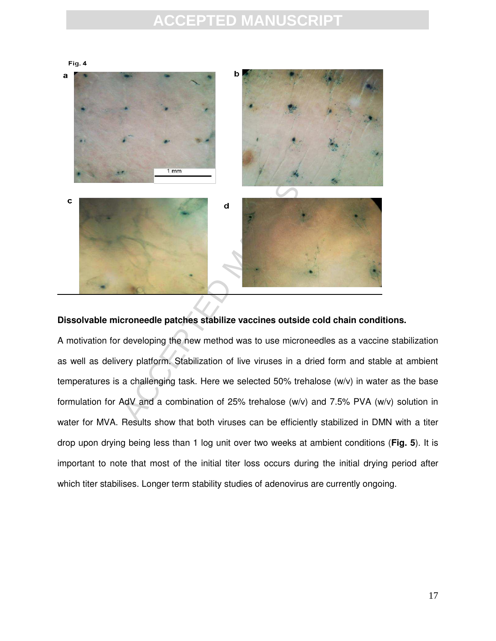

#### **Dissolvable microneedle patches stabilize vaccines outside cold chain conditions.**

A motivation for developing the new method was to use microneedles as a vaccine stabilization as well as delivery platform. Stabilization of live viruses in a dried form and stable at ambient temperatures is a challenging task. Here we selected 50% trehalose (w/v) in water as the base formulation for AdV and a combination of 25% trehalose (w/v) and 7.5% PVA (w/v) solution in water for MVA. Results show that both viruses can be efficiently stabilized in DMN with a titer drop upon drying being less than 1 log unit over two weeks at ambient conditions (**Fig. 5**). It is important to note that most of the initial titer loss occurs during the initial drying period after which titer stabilises. Longer term stability studies of adenovirus are currently ongoing.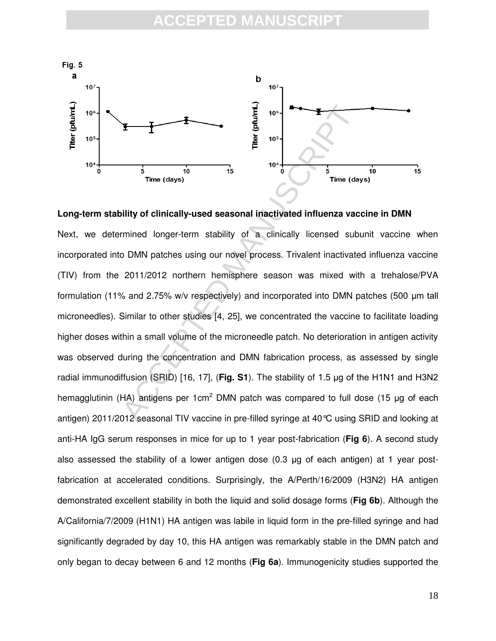

**Long-term stability of clinically-used seasonal inactivated influenza vaccine in DMN**

THE TIME (days)<br>  $\frac{1}{5}$  Time (days)<br>  $\frac{1}{10}$  Time (days)<br>  $\frac{1}{10}$  Time (days)<br>  $\frac{1}{10}$  Time (days)<br>  $\frac{1}{10}$  Time (days)<br>  $\frac{1}{10}$  Time (days)<br>  $\frac{1}{10}$  Time (days)<br>  $\frac{1}{10}$  Time (days)<br>  $\frac{1}{10}$  Ti Next, we determined longer-term stability of a clinically licensed subunit vaccine when incorporated into DMN patches using our novel process. Trivalent inactivated influenza vaccine (TIV) from the 2011/2012 northern hemisphere season was mixed with a trehalose/PVA formulation (11% and 2.75% w/v respectively) and incorporated into DMN patches (500  $\mu$ m tall microneedles). Similar to other studies [4, 25], we concentrated the vaccine to facilitate loading higher doses within a small volume of the microneedle patch. No deterioration in antigen activity was observed during the concentration and DMN fabrication process, as assessed by single radial immunodiffusion (SRID) [16, 17], (Fig. S1). The stability of 1.5 µg of the H1N1 and H3N2 hemagglutinin (HA) antigens per 1cm<sup>2</sup> DMN patch was compared to full dose (15  $\mu$ g of each antigen) 2011/2012 seasonal TIV vaccine in pre-filled syringe at 40°C using SRID and looking at anti-HA IgG serum responses in mice for up to 1 year post-fabrication (**Fig 6**). A second study also assessed the stability of a lower antigen dose  $(0.3 \mu g)$  of each antigen) at 1 year postfabrication at accelerated conditions. Surprisingly, the A/Perth/16/2009 (H3N2) HA antigen demonstrated excellent stability in both the liquid and solid dosage forms (**Fig 6b**). Although the A/California/7/2009 (H1N1) HA antigen was labile in liquid form in the pre-filled syringe and had significantly degraded by day 10, this HA antigen was remarkably stable in the DMN patch and only began to decay between 6 and 12 months (**Fig 6a**). Immunogenicity studies supported the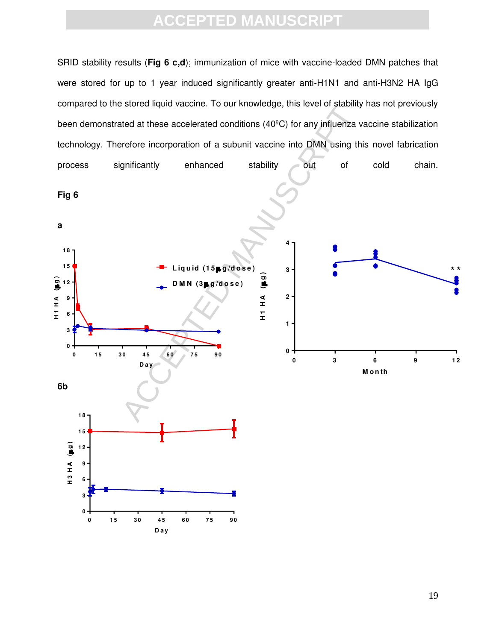SRID stability results (**Fig 6 c,d**); immunization of mice with vaccine-loaded DMN patches that were stored for up to 1 year induced significantly greater anti-H1N1 and anti-H3N2 HA IgG compared to the stored liquid vaccine. To our knowledge, this level of stability has not previously accelerated conditions (40°C) for any influenza verefore incorporation of a subunit vaccine into DMN using the<br>prificantly enhanced stability out of<br>tability out of<br>tability out of<br>tability out of<br>tability out of<br>tability been demonstrated at these accelerated conditions (40ºC) for any influenza vaccine stabilization technology. Therefore incorporation of a subunit vaccine into DMN using this novel fabrication process significantly enhanced stability out of cold chain. **Fig 6 a 4 1 8 1 5 L iq u id (1 5 g /d o s e ) 3** \* \***h**<br> **(c)**<br> **d**<br> **H**<br> **H**<br> **H h**<br> **H**<br> **H**<br> **H**<br> **H** HIH (BS) **1 2 D M N (3 g /d o s e ) 2 9 6 1 3 0 0 0 15 30 45 60 75 90 0 3 6 9 1 2 D a y M o n th 6b 1 8 1 5** H3HA (Bg) **H 3 H A ( g ) 1 2 9 6 3 0 0 1 5 3 0 4 5 6 0 7 5 9 0 D a y**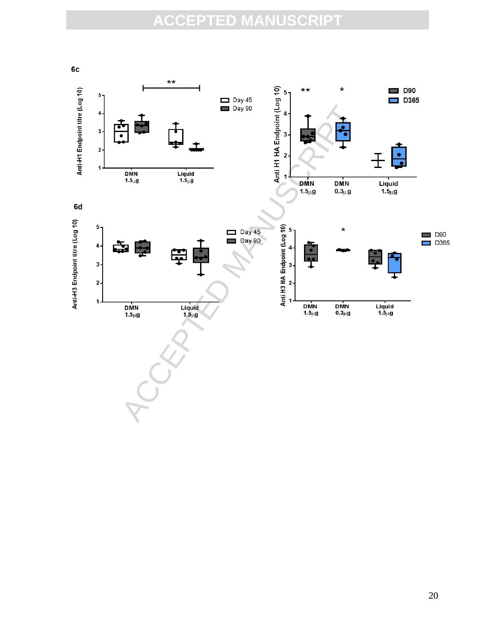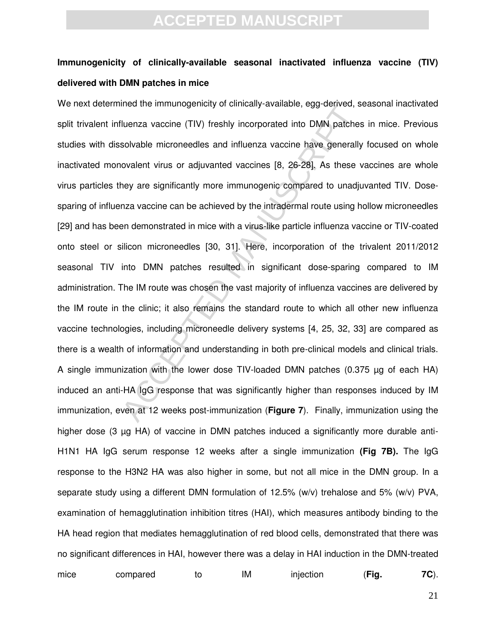### **Immunogenicity of clinically-available seasonal inactivated influenza vaccine (TIV) delivered with DMN patches in mice**

The and minimiply of clinically available, egg denved, a<br>iluenza vaccine (TIV) freshly incorporated into DMN patches<br>solvable microneedles and influenza vaccine have generally<br>ovalent virus or adjuvanted vaccines [8, 26-28 We next determined the immunogenicity of clinically-available, egg-derived, seasonal inactivated split trivalent influenza vaccine (TIV) freshly incorporated into DMN patches in mice. Previous studies with dissolvable microneedles and influenza vaccine have generally focused on whole inactivated monovalent virus or adjuvanted vaccines [8, 26-28]. As these vaccines are whole virus particles they are significantly more immunogenic compared to unadjuvanted TIV. Dosesparing of influenza vaccine can be achieved by the intradermal route using hollow microneedles [29] and has been demonstrated in mice with a virus-like particle influenza vaccine or TIV-coated onto steel or silicon microneedles [30, 31]. Here, incorporation of the trivalent 2011/2012 seasonal TIV into DMN patches resulted in significant dose-sparing compared to IM administration. The IM route was chosen the vast majority of influenza vaccines are delivered by the IM route in the clinic; it also remains the standard route to which all other new influenza vaccine technologies, including microneedle delivery systems [4, 25, 32, 33] are compared as there is a wealth of information and understanding in both pre-clinical models and clinical trials. A single immunization with the lower dose TIV-loaded DMN patches (0.375 µg of each HA) induced an anti-HA IgG response that was significantly higher than responses induced by IM immunization, even at 12 weeks post-immunization (**Figure 7**). Finally, immunization using the higher dose (3 µg HA) of vaccine in DMN patches induced a significantly more durable anti-H1N1 HA IgG serum response 12 weeks after a single immunization **(Fig 7B).** The IgG response to the H3N2 HA was also higher in some, but not all mice in the DMN group. In a separate study using a different DMN formulation of 12.5% (w/v) trehalose and 5% (w/v) PVA, examination of hemagglutination inhibition titres (HAI), which measures antibody binding to the HA head region that mediates hemagglutination of red blood cells, demonstrated that there was no significant differences in HAI, however there was a delay in HAI induction in the DMN-treated

| mice | compared | ΙM | injection | 'Fig. | 7C). |
|------|----------|----|-----------|-------|------|
|      |          |    |           |       |      |

21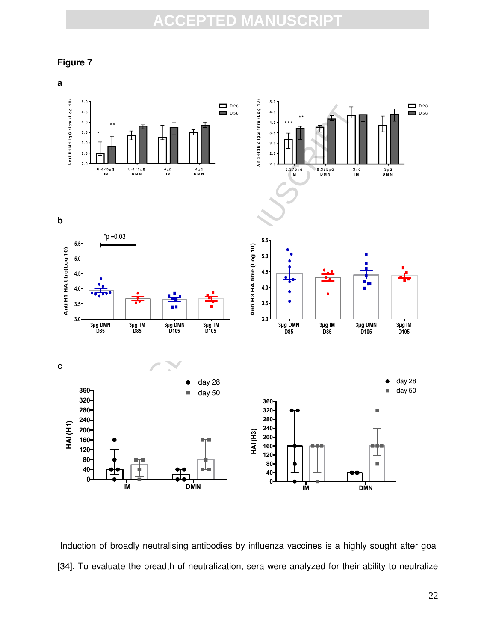**Figure 7** 



Induction of broadly neutralising antibodies by influenza vaccines is a highly sought after goal [34]. To evaluate the breadth of neutralization, sera were analyzed for their ability to neutralize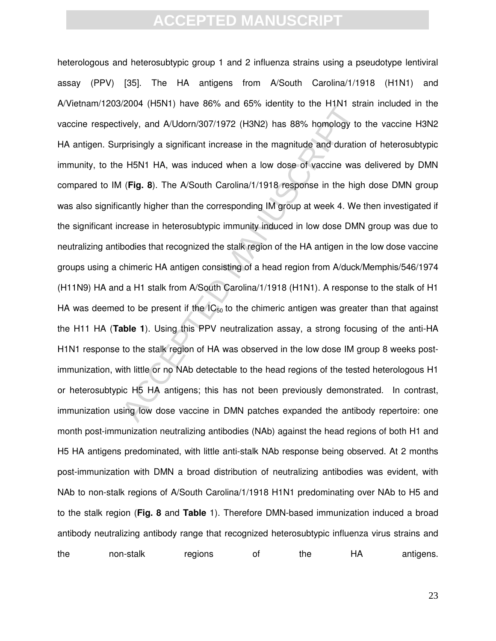$22004$  (FISIVI) have 60% and 63% dentity to the Fritty stively, and A/Udorn/307/1972 (H3N2) has 88% homology to prisingly a significant increase in the magnitude and duration H5N1 HA, was induced when a low dose of vacci heterologous and heterosubtypic group 1 and 2 influenza strains using a pseudotype lentiviral assay (PPV) [35]. The HA antigens from A/South Carolina/1/1918 (H1N1) and A/Vietnam/1203/2004 (H5N1) have 86% and 65% identity to the H1N1 strain included in the vaccine respectively, and A/Udorn/307/1972 (H3N2) has 88% homology to the vaccine H3N2 HA antigen. Surprisingly a significant increase in the magnitude and duration of heterosubtypic immunity, to the H5N1 HA, was induced when a low dose of vaccine was delivered by DMN compared to IM (**Fig. 8**). The A/South Carolina/1/1918 response in the high dose DMN group was also significantly higher than the corresponding IM group at week 4. We then investigated if the significant increase in heterosubtypic immunity induced in low dose DMN group was due to neutralizing antibodies that recognized the stalk region of the HA antigen in the low dose vaccine groups using a chimeric HA antigen consisting of a head region from A/duck/Memphis/546/1974 (H11N9) HA and a H1 stalk from A/South Carolina/1/1918 (H1N1). A response to the stalk of H1 HA was deemed to be present if the  $IC_{50}$  to the chimeric antigen was greater than that against the H11 HA (**Table 1**). Using this PPV neutralization assay, a strong focusing of the anti-HA H1N1 response to the stalk region of HA was observed in the low dose IM group 8 weeks postimmunization, with little or no NAb detectable to the head regions of the tested heterologous H1 or heterosubtypic H5 HA antigens; this has not been previously demonstrated. In contrast, immunization using low dose vaccine in DMN patches expanded the antibody repertoire: one month post-immunization neutralizing antibodies (NAb) against the head regions of both H1 and H5 HA antigens predominated, with little anti-stalk NAb response being observed. At 2 months post-immunization with DMN a broad distribution of neutralizing antibodies was evident, with NAb to non-stalk regions of A/South Carolina/1/1918 H1N1 predominating over NAb to H5 and to the stalk region (**Fig. 8** and **Table** 1). Therefore DMN-based immunization induced a broad antibody neutralizing antibody range that recognized heterosubtypic influenza virus strains and the non-stalk regions of the HA antigens.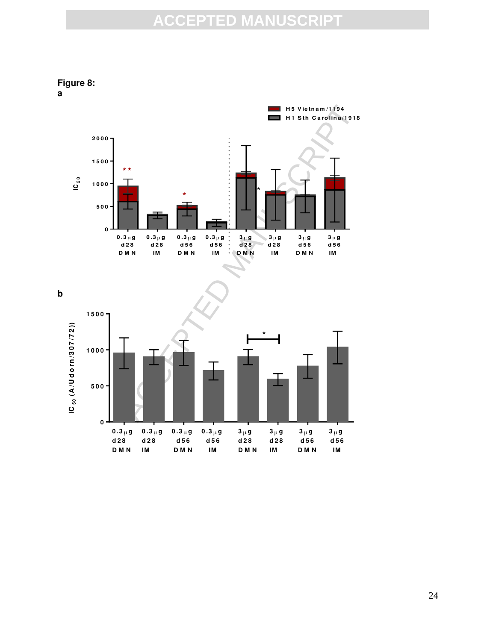ACCEPTED MANUSCRIPT **0 .3 g d 2 8 D M N 0 .3 g d 2 8 IM 0 .3 g d 5 6 D M N**  $0.3 \mu$  g **d 5 6 IM 3 g d 2 8 D M N 3 g d 2 8 IM 3 g d 5 6 D M N 3 g d 5 6 IM 0 5 0 0 1 0 0 0 1 5 0 0 2 0 0 0 IC 5 0 H 1 S th C a ro lin a /1 9 1 8 H 5 V ie tn a m /1 1 9 4 \* \* \*** \*

**b 1 5 0 0** IC<sub>50</sub>  $(A/U$ dorn/307/72)) **IC 5 0 (A /U d o rn /3 0 7 /7 2 ))** \***1 0 0 0 5 0 0 0**  $0.3 \mu g$  $0.3 \mu g$  $0.3 \mu g$  $0.3 \mu g$  $3 \mu g$  $3 \mu g$  $3 \mu g$  $3 \mu g$ **d 2 8 d 2 8 d 5 6 d 5 6 d 5 6 d 5 6 d 2 8 d 2 8 D M N IM D M N D M N D M N IM IM IM**

#### **Figure 8: a**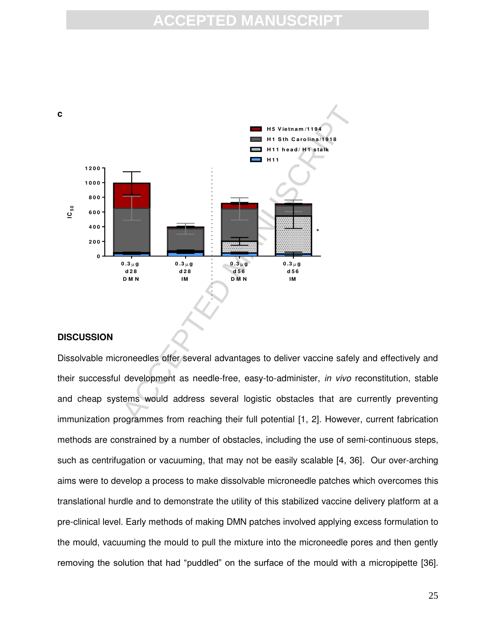### **CCEPTED MANUS**



#### **DISCUSSION**

Dissolvable microneedles offer several advantages to deliver vaccine safely and effectively and their successful development as needle-free, easy-to-administer, *in vivo* reconstitution, stable and cheap systems would address several logistic obstacles that are currently preventing immunization programmes from reaching their full potential [1, 2]. However, current fabrication methods are constrained by a number of obstacles, including the use of semi-continuous steps, such as centrifugation or vacuuming, that may not be easily scalable [4, 36]*.* Our over-arching aims were to develop a process to make dissolvable microneedle patches which overcomes this translational hurdle and to demonstrate the utility of this stabilized vaccine delivery platform at a pre-clinical level. Early methods of making DMN patches involved applying excess formulation to the mould, vacuuming the mould to pull the mixture into the microneedle pores and then gently removing the solution that had "puddled" on the surface of the mould with a micropipette [36].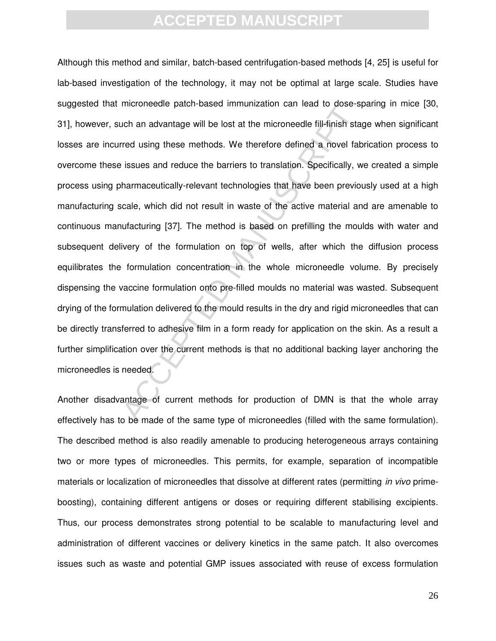Inconnective patch-based infiniting<br>ation can read to dose-s<br>toch an advantage will be lost at the microneedle fill-finish stared<br>using these methods. We therefore defined a novel fat<br>issues and reduce the barriers to tran Although this method and similar, batch-based centrifugation-based methods [4, 25] is useful for lab-based investigation of the technology, it may not be optimal at large scale. Studies have suggested that microneedle patch-based immunization can lead to dose-sparing in mice [30, 31], however, such an advantage will be lost at the microneedle fill-finish stage when significant losses are incurred using these methods. We therefore defined a novel fabrication process to overcome these issues and reduce the barriers to translation. Specifically, we created a simple process using pharmaceutically-relevant technologies that have been previously used at a high manufacturing scale, which did not result in waste of the active material and are amenable to continuous manufacturing [37]. The method is based on prefilling the moulds with water and subsequent delivery of the formulation on top of wells, after which the diffusion process equilibrates the formulation concentration in the whole microneedle volume. By precisely dispensing the vaccine formulation onto pre-filled moulds no material was wasted. Subsequent drying of the formulation delivered to the mould results in the dry and rigid microneedles that can be directly transferred to adhesive film in a form ready for application on the skin. As a result a further simplification over the current methods is that no additional backing layer anchoring the microneedles is needed.

Another disadvantage of current methods for production of DMN is that the whole array effectively has to be made of the same type of microneedles (filled with the same formulation). The described method is also readily amenable to producing heterogeneous arrays containing two or more types of microneedles. This permits, for example, separation of incompatible materials or localization of microneedles that dissolve at different rates (permitting *in vivo* primeboosting), containing different antigens or doses or requiring different stabilising excipients. Thus, our process demonstrates strong potential to be scalable to manufacturing level and administration of different vaccines or delivery kinetics in the same patch. It also overcomes issues such as waste and potential GMP issues associated with reuse of excess formulation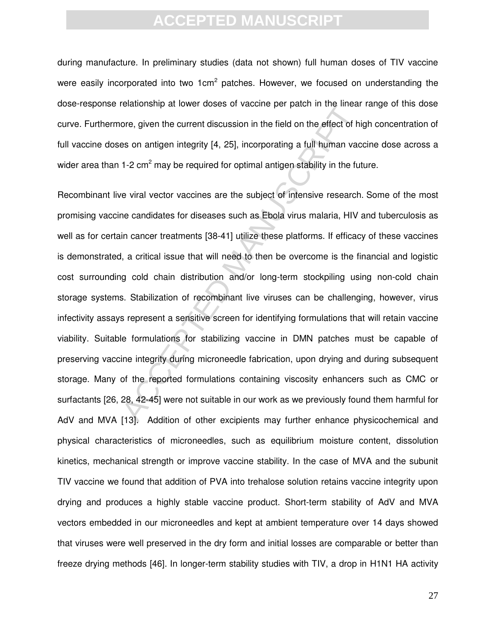during manufacture. In preliminary studies (data not shown) full human doses of TIV vaccine were easily incorporated into two 1cm<sup>2</sup> patches. However, we focused on understanding the dose-response relationship at lower doses of vaccine per patch in the linear range of this dose curve. Furthermore, given the current discussion in the field on the effect of high concentration of full vaccine doses on antigen integrity [4, 25], incorporating a full human vaccine dose across a wider area than 1-2  $\text{cm}^2$  may be required for optimal antigen stability in the future.

belationship at lower doses or vacuitie per paturities linear<br>ore, given the current discussion in the field on the effect of h<br>es on antigen integrity [4, 25], incorporating a full human vac<br>1-2 cm<sup>2</sup> may be required for Recombinant live viral vector vaccines are the subject of intensive research. Some of the most promising vaccine candidates for diseases such as Ebola virus malaria, HIV and tuberculosis as well as for certain cancer treatments [38-41] utilize these platforms. If efficacy of these vaccines is demonstrated, a critical issue that will need to then be overcome is the financial and logistic cost surrounding cold chain distribution and/or long-term stockpiling using non-cold chain storage systems. Stabilization of recombinant live viruses can be challenging, however, virus infectivity assays represent a sensitive screen for identifying formulations that will retain vaccine viability. Suitable formulations for stabilizing vaccine in DMN patches must be capable of preserving vaccine integrity during microneedle fabrication, upon drying and during subsequent storage. Many of the reported formulations containing viscosity enhancers such as CMC or surfactants [26, 28, 42-45] were not suitable in our work as we previously found them harmful for AdV and MVA [13]. Addition of other excipients may further enhance physicochemical and physical characteristics of microneedles, such as equilibrium moisture content, dissolution kinetics, mechanical strength or improve vaccine stability. In the case of MVA and the subunit TIV vaccine we found that addition of PVA into trehalose solution retains vaccine integrity upon drying and produces a highly stable vaccine product. Short-term stability of AdV and MVA vectors embedded in our microneedles and kept at ambient temperature over 14 days showed that viruses were well preserved in the dry form and initial losses are comparable or better than freeze drying methods [46]. In longer-term stability studies with TIV, a drop in H1N1 HA activity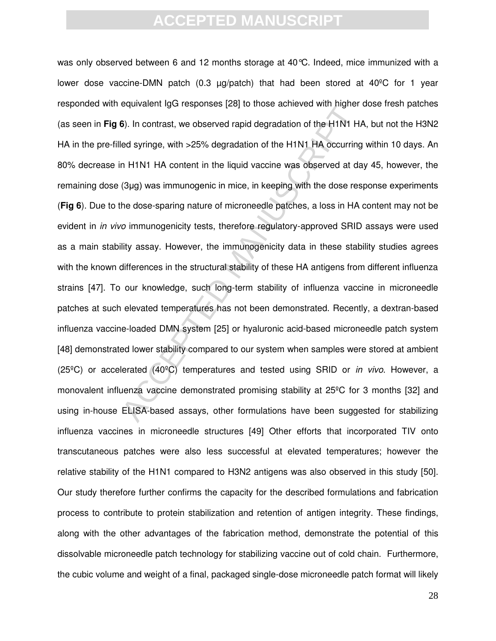equivalent tych responses [20] to those achieved with higher<br>6). In contrast, we observed rapid degradation of the H1N1 H.<br>Ied syringe, with >25% degradation of the H1N1 HA occurring<br>n H1N1 HA content in the liquid vaccine was only observed between 6 and 12 months storage at 40°C. Indeed, mice immunized with a lower dose vaccine-DMN patch (0.3  $\mu$ g/patch) that had been stored at 40<sup>o</sup>C for 1 year responded with equivalent IgG responses [28] to those achieved with higher dose fresh patches (as seen in **Fig 6**). In contrast, we observed rapid degradation of the H1N1 HA, but not the H3N2 HA in the pre-filled syringe, with >25% degradation of the H1N1 HA occurring within 10 days. An 80% decrease in H1N1 HA content in the liquid vaccine was observed at day 45, however, the remaining dose (3µg) was immunogenic in mice, in keeping with the dose response experiments (**Fig 6**). Due to the dose-sparing nature of microneedle patches, a loss in HA content may not be evident in *in vivo* immunogenicity tests, therefore regulatory-approved SRID assays were used as a main stability assay. However, the immunogenicity data in these stability studies agrees with the known differences in the structural stability of these HA antigens from different influenza strains [47]. To our knowledge, such long-term stability of influenza vaccine in microneedle patches at such elevated temperatures has not been demonstrated. Recently, a dextran-based influenza vaccine-loaded DMN system [25] or hyaluronic acid-based microneedle patch system [48] demonstrated lower stability compared to our system when samples were stored at ambient (25ºC) or accelerated (40ºC) temperatures and tested using SRID or *in vivo*. However, a monovalent influenza vaccine demonstrated promising stability at 25ºC for 3 months [32] and using in-house ELISA-based assays, other formulations have been suggested for stabilizing influenza vaccines in microneedle structures [49] Other efforts that incorporated TIV onto transcutaneous patches were also less successful at elevated temperatures; however the relative stability of the H1N1 compared to H3N2 antigens was also observed in this study [50]. Our study therefore further confirms the capacity for the described formulations and fabrication process to contribute to protein stabilization and retention of antigen integrity. These findings, along with the other advantages of the fabrication method, demonstrate the potential of this dissolvable microneedle patch technology for stabilizing vaccine out of cold chain. Furthermore, the cubic volume and weight of a final, packaged single-dose microneedle patch format will likely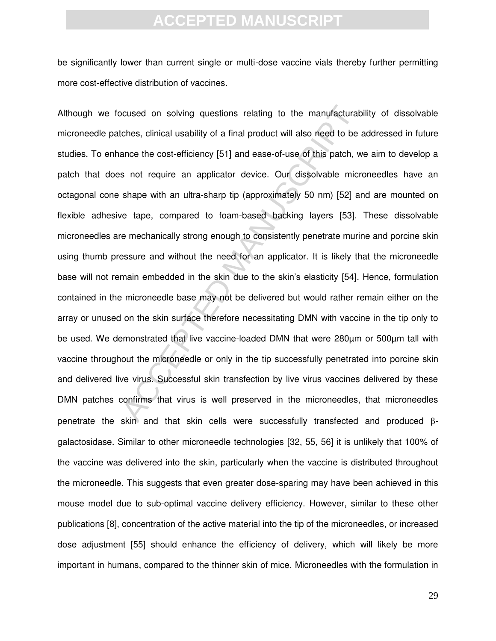be significantly lower than current single or multi-dose vaccine vials thereby further permitting more cost-effective distribution of vaccines.

ocused on solving questions relating to the manufacturat<br>
oches, clinical usability of a final product will also need to be<br>
ance the cost-efficiency [51] and ease-of-use of this patch, w<br>
s not require an applicator devic Although we focused on solving questions relating to the manufacturability of dissolvable microneedle patches, clinical usability of a final product will also need to be addressed in future studies. To enhance the cost-efficiency [51] and ease-of-use of this patch, we aim to develop a patch that does not require an applicator device. Our dissolvable microneedles have an octagonal cone shape with an ultra-sharp tip (approximately 50 nm) [52] and are mounted on flexible adhesive tape, compared to foam-based backing layers [53]. These dissolvable microneedles are mechanically strong enough to consistently penetrate murine and porcine skin using thumb pressure and without the need for an applicator. It is likely that the microneedle base will not remain embedded in the skin due to the skin's elasticity [54]. Hence, formulation contained in the microneedle base may not be delivered but would rather remain either on the array or unused on the skin surface therefore necessitating DMN with vaccine in the tip only to be used. We demonstrated that live vaccine-loaded DMN that were 280µm or 500µm tall with vaccine throughout the microneedle or only in the tip successfully penetrated into porcine skin and delivered live virus. Successful skin transfection by live virus vaccines delivered by these DMN patches confirms that virus is well preserved in the microneedles, that microneedles penetrate the skin and that skin cells were successfully transfected and produced  $\beta$ galactosidase. Similar to other microneedle technologies [32, 55, 56] it is unlikely that 100% of the vaccine was delivered into the skin, particularly when the vaccine is distributed throughout the microneedle. This suggests that even greater dose-sparing may have been achieved in this mouse model due to sub-optimal vaccine delivery efficiency. However, similar to these other publications [8], concentration of the active material into the tip of the microneedles, or increased dose adjustment [55] should enhance the efficiency of delivery, which will likely be more important in humans, compared to the thinner skin of mice. Microneedles with the formulation in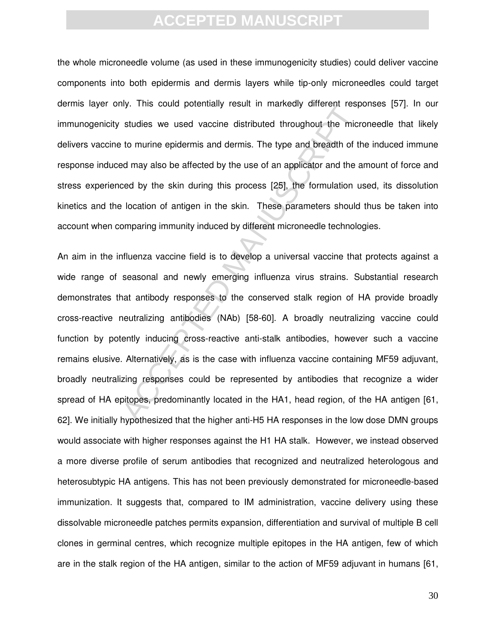the whole microneedle volume (as used in these immunogenicity studies) could deliver vaccine components into both epidermis and dermis layers while tip-only microneedles could target dermis layer only. This could potentially result in markedly different responses [57]. In our immunogenicity studies we used vaccine distributed throughout the microneedle that likely delivers vaccine to murine epidermis and dermis. The type and breadth of the induced immune response induced may also be affected by the use of an applicator and the amount of force and stress experienced by the skin during this process [25], the formulation used, its dissolution kinetics and the location of antigen in the skin. These parameters should thus be taken into account when comparing immunity induced by different microneedle technologies.

ny. This could potentially result in mathedry diretent resp<br>studies we used vaccine distributed throughout the micr<br>to murine epidermis and dermis. The type and breadth of the<br>ded by the skin during this process [25], the An aim in the influenza vaccine field is to develop a universal vaccine that protects against a wide range of seasonal and newly emerging influenza virus strains. Substantial research demonstrates that antibody responses to the conserved stalk region of HA provide broadly cross-reactive neutralizing antibodies (NAb) [58-60]. A broadly neutralizing vaccine could function by potently inducing cross-reactive anti-stalk antibodies, however such a vaccine remains elusive. Alternatively, as is the case with influenza vaccine containing MF59 adjuvant, broadly neutralizing responses could be represented by antibodies that recognize a wider spread of HA epitopes, predominantly located in the HA1, head region, of the HA antigen [61, 62]. We initially hypothesized that the higher anti-H5 HA responses in the low dose DMN groups would associate with higher responses against the H1 HA stalk. However, we instead observed a more diverse profile of serum antibodies that recognized and neutralized heterologous and heterosubtypic HA antigens. This has not been previously demonstrated for microneedle-based immunization. It suggests that, compared to IM administration, vaccine delivery using these dissolvable microneedle patches permits expansion, differentiation and survival of multiple B cell clones in germinal centres, which recognize multiple epitopes in the HA antigen, few of which are in the stalk region of the HA antigen, similar to the action of MF59 adjuvant in humans [61,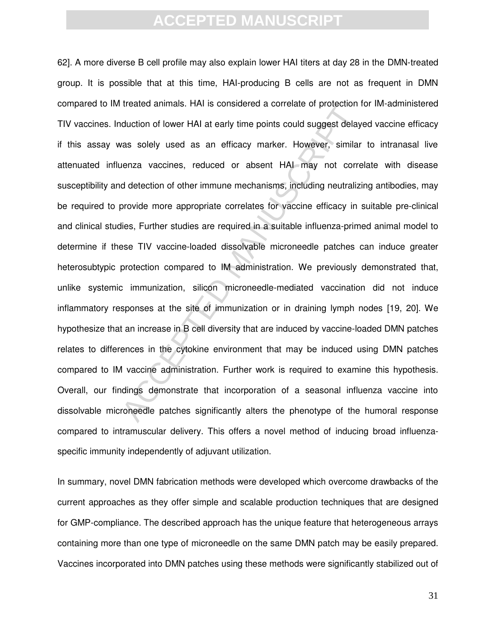decided animals. That is considered a constant of protection<br>duction of lower HAI at early time points could suggest delay<br>as solely used as an efficacy marker. However, similar<br>enza vaccines, reduced or absent HAI may not 62]. A more diverse B cell profile may also explain lower HAI titers at day 28 in the DMN-treated group. It is possible that at this time, HAI-producing B cells are not as frequent in DMN compared to IM treated animals. HAI is considered a correlate of protection for IM-administered TIV vaccines. Induction of lower HAI at early time points could suggest delayed vaccine efficacy if this assay was solely used as an efficacy marker. However, similar to intranasal live attenuated influenza vaccines, reduced or absent HAI may not correlate with disease susceptibility and detection of other immune mechanisms, including neutralizing antibodies, may be required to provide more appropriate correlates for vaccine efficacy in suitable pre-clinical and clinical studies, Further studies are required in a suitable influenza-primed animal model to determine if these TIV vaccine-loaded dissolvable microneedle patches can induce greater heterosubtypic protection compared to IM administration. We previously demonstrated that, unlike systemic immunization, silicon microneedle-mediated vaccination did not induce inflammatory responses at the site of immunization or in draining lymph nodes [19, 20]. We hypothesize that an increase in B cell diversity that are induced by vaccine-loaded DMN patches relates to differences in the cytokine environment that may be induced using DMN patches compared to IM vaccine administration. Further work is required to examine this hypothesis. Overall, our findings demonstrate that incorporation of a seasonal influenza vaccine into dissolvable microneedle patches significantly alters the phenotype of the humoral response compared to intramuscular delivery. This offers a novel method of inducing broad influenzaspecific immunity independently of adjuvant utilization.

In summary, novel DMN fabrication methods were developed which overcome drawbacks of the current approaches as they offer simple and scalable production techniques that are designed for GMP-compliance. The described approach has the unique feature that heterogeneous arrays containing more than one type of microneedle on the same DMN patch may be easily prepared. Vaccines incorporated into DMN patches using these methods were significantly stabilized out of

31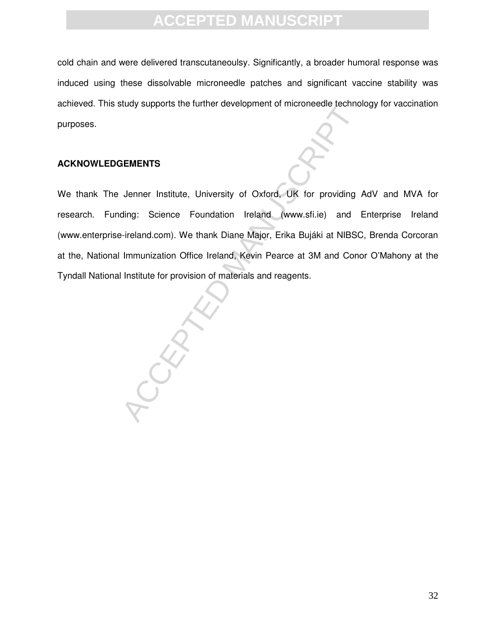cold chain and were delivered transcutaneoulsy. Significantly, a broader humoral response was induced using these dissolvable microneedle patches and significant vaccine stability was achieved. This study supports the further development of microneedle technology for vaccination purposes.

#### **ACKNOWLEDGEMENTS**

We thank The Jenner Institute, University of Oxford, UK for providing AdV and MVA for research. Funding: Science Foundation Ireland (www.sfi.ie) and Enterprise Ireland (www.enterprise-ireland.com). We thank Diane Major, Erika Bujáki at NIBSC, Brenda Corcoran at the, National Immunization Office Ireland, Kevin Pearce at 3M and Conor O'Mahony at the Tyndall National Institute for provision of materials and reagents.

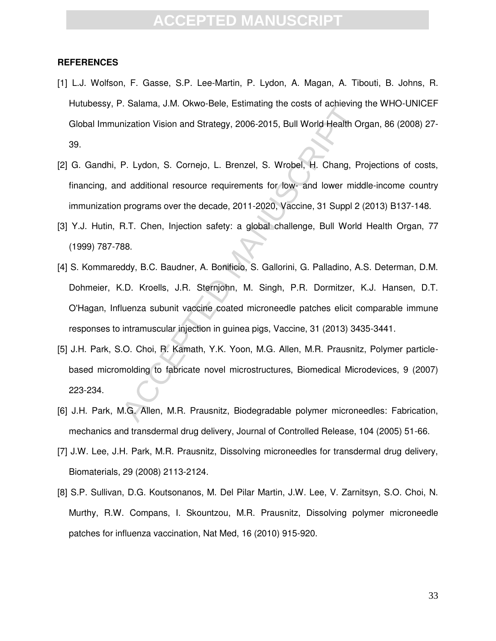### **ACCEPTED MANUS**

#### **REFERENCES**

- [1] L.J. Wolfson, F. Gasse, S.P. Lee-Martin, P. Lydon, A. Magan, A. Tibouti, B. Johns, R. Hutubessy, P. Salama, J.M. Okwo-Bele, Estimating the costs of achieving the WHO-UNICEF Global Immunization Vision and Strategy, 2006-2015, Bull World Health Organ, 86 (2008) 27- 39.
- [2] G. Gandhi, P. Lydon, S. Cornejo, L. Brenzel, S. Wrobel, H. Chang, Projections of costs, financing, and additional resource requirements for low- and lower middle-income country immunization programs over the decade, 2011-2020, Vaccine, 31 Suppl 2 (2013) B137-148.
- [3] Y.J. Hutin, R.T. Chen, Injection safety: a global challenge, Bull World Health Organ, 77 (1999) 787-788.
- Columbus Control Detection, S. Wrobel, H. Chang, P. Lydon, S. Cornejo, L. Brenzel, S. Wrobel, H. Chang, P. Lydon, S. Cornejo, L. Brenzel, S. Wrobel, H. Chang, P. dadditional resource requirements for low- and lower mid pro [4] S. Kommareddy, B.C. Baudner, A. Bonificio, S. Gallorini, G. Palladino, A.S. Determan, D.M. Dohmeier, K.D. Kroells, J.R. Sternjohn, M. Singh, P.R. Dormitzer, K.J. Hansen, D.T. O'Hagan, Influenza subunit vaccine coated microneedle patches elicit comparable immune responses to intramuscular injection in guinea pigs, Vaccine, 31 (2013) 3435-3441.
- [5] J.H. Park, S.O. Choi, R. Kamath, Y.K. Yoon, M.G. Allen, M.R. Prausnitz, Polymer particlebased micromolding to fabricate novel microstructures, Biomedical Microdevices, 9 (2007) 223-234.
- [6] J.H. Park, M.G. Allen, M.R. Prausnitz, Biodegradable polymer microneedles: Fabrication, mechanics and transdermal drug delivery, Journal of Controlled Release, 104 (2005) 51-66.
- [7] J.W. Lee, J.H. Park, M.R. Prausnitz, Dissolving microneedles for transdermal drug delivery, Biomaterials, 29 (2008) 2113-2124.
- [8] S.P. Sullivan, D.G. Koutsonanos, M. Del Pilar Martin, J.W. Lee, V. Zarnitsyn, S.O. Choi, N. Murthy, R.W. Compans, I. Skountzou, M.R. Prausnitz, Dissolving polymer microneedle patches for influenza vaccination, Nat Med, 16 (2010) 915-920.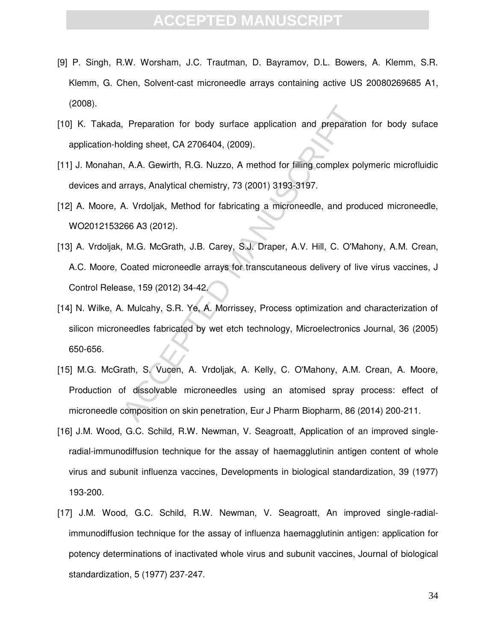- [9] P. Singh, R.W. Worsham, J.C. Trautman, D. Bayramov, D.L. Bowers, A. Klemm, S.R. Klemm, G. Chen, Solvent-cast microneedle arrays containing active US 20080269685 A1, (2008).
- [10] K. Takada, Preparation for body surface application and preparation for body suface application-holding sheet, CA 2706404, (2009).
- [11] J. Monahan, A.A. Gewirth, R.G. Nuzzo, A method for filling complex polymeric microfluidic devices and arrays, Analytical chemistry, 73 (2001) 3193-3197.
- [12] A. Moore, A. Vrdoljak, Method for fabricating a microneedle, and produced microneedle, WO2012153266 A3 (2012).
- Preparation for body surface application and preparation colding sheet, CA 2706404, (2009).<br>
A. A.A. Gewirth, R.G. Nuzzo, A method for filling complex por arrays, Analytical chemistry, 73 (2001) 3193-3197.<br>
A. Vrdoljak, Me [13] A. Vrdoliak, M.G. McGrath, J.B. Carey, S.J. Draper, A.V. Hill, C. O'Mahony, A.M. Crean, A.C. Moore, Coated microneedle arrays for transcutaneous delivery of live virus vaccines, J Control Release, 159 (2012) 34-42.
- [14] N. Wilke, A. Mulcahy, S.R. Ye, A. Morrissey, Process optimization and characterization of silicon microneedles fabricated by wet etch technology, Microelectronics Journal, 36 (2005) 650-656.
- [15] M.G. McGrath, S. Vucen, A. Vrdoljak, A. Kelly, C. O'Mahony, A.M. Crean, A. Moore, Production of dissolvable microneedles using an atomised spray process: effect of microneedle composition on skin penetration, Eur J Pharm Biopharm, 86 (2014) 200-211.
- [16] J.M. Wood, G.C. Schild, R.W. Newman, V. Seagroatt, Application of an improved singleradial-immunodiffusion technique for the assay of haemagglutinin antigen content of whole virus and subunit influenza vaccines, Developments in biological standardization, 39 (1977) 193-200.
- [17] J.M. Wood, G.C. Schild, R.W. Newman, V. Seagroatt, An improved single-radialimmunodiffusion technique for the assay of influenza haemagglutinin antigen: application for potency determinations of inactivated whole virus and subunit vaccines, Journal of biological standardization, 5 (1977) 237-247.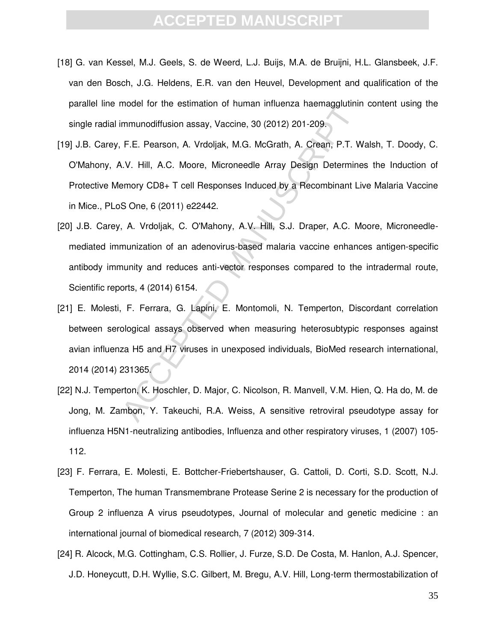- [18] G. van Kessel, M.J. Geels, S. de Weerd, L.J. Buijs, M.A. de Bruijni, H.L. Glansbeek, J.F. van den Bosch, J.G. Heldens, E.R. van den Heuvel, Development and qualification of the parallel line model for the estimation of human influenza haemagglutinin content using the single radial immunodiffusion assay, Vaccine, 30 (2012) 201-209.
- noutritude samation of handar initiatiza identagyotalism<br>mmunodiffusion assay, Vaccine, 30 (2012) 201-209.<br>F.E. Pearson, A. Vrdoljak, M.G. McGrath, A. Crean, P.T. V<br>V. Hill, A.C. Moore, Microneedle Array Design Determine<br>m [19] J.B. Carey, F.E. Pearson, A. Vrdoljak, M.G. McGrath, A. Crean, P.T. Walsh, T. Doody, C. O'Mahony, A.V. Hill, A.C. Moore, Microneedle Array Design Determines the Induction of Protective Memory CD8+ T cell Responses Induced by a Recombinant Live Malaria Vaccine in Mice., PLoS One, 6 (2011) e22442.
- [20] J.B. Carey, A. Vrdoljak, C. O'Mahony, A.V. Hill, S.J. Draper, A.C. Moore, Microneedlemediated immunization of an adenovirus-based malaria vaccine enhances antigen-specific antibody immunity and reduces anti-vector responses compared to the intradermal route, Scientific reports, 4 (2014) 6154.
- [21] E. Molesti, F. Ferrara, G. Lapini, E. Montomoli, N. Temperton, Discordant correlation between serological assays observed when measuring heterosubtypic responses against avian influenza H5 and H7 viruses in unexposed individuals, BioMed research international, 2014 (2014) 231365.
- [22] N.J. Temperton, K. Hoschler, D. Major, C. Nicolson, R. Manvell, V.M. Hien, Q. Ha do, M. de Jong, M. Zambon, Y. Takeuchi, R.A. Weiss, A sensitive retroviral pseudotype assay for influenza H5N1-neutralizing antibodies, Influenza and other respiratory viruses, 1 (2007) 105- 112.
- [23] F. Ferrara, E. Molesti, E. Bottcher-Friebertshauser, G. Cattoli, D. Corti, S.D. Scott, N.J. Temperton, The human Transmembrane Protease Serine 2 is necessary for the production of Group 2 influenza A virus pseudotypes, Journal of molecular and genetic medicine : an international journal of biomedical research, 7 (2012) 309-314.
- [24] R. Alcock, M.G. Cottingham, C.S. Rollier, J. Furze, S.D. De Costa, M. Hanlon, A.J. Spencer, J.D. Honeycutt, D.H. Wyllie, S.C. Gilbert, M. Bregu, A.V. Hill, Long-term thermostabilization of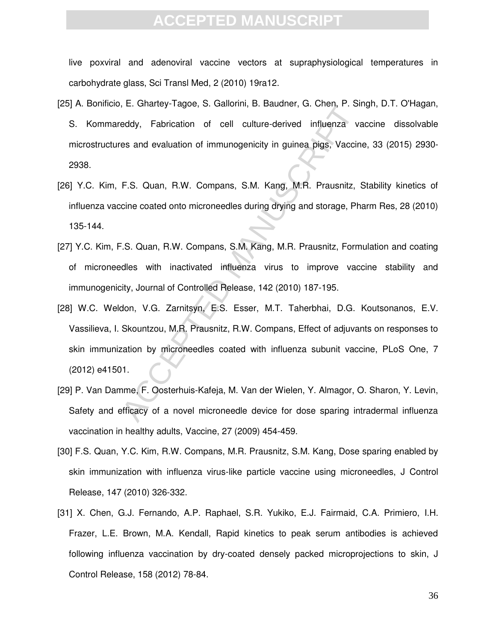live poxviral and adenoviral vaccine vectors at supraphysiological temperatures in carbohydrate glass, Sci Transl Med, 2 (2010) 19ra12.

- [25] A. Bonificio, E. Ghartey-Tagoe, S. Gallorini, B. Baudner, G. Chen, P. Singh, D.T. O'Hagan, S. Kommareddy, Fabrication of cell culture-derived influenza vaccine dissolvable microstructures and evaluation of immunogenicity in guinea pigs, Vaccine, 33 (2015) 2930- 2938.
- [26] Y.C. Kim, F.S. Quan, R.W. Compans, S.M. Kang, M.R. Prausnitz, Stability kinetics of influenza vaccine coated onto microneedles during drying and storage, Pharm Res, 28 (2010) 135-144.
- [27] Y.C. Kim, F.S. Quan, R.W. Compans, S.M. Kang, M.R. Prausnitz, Formulation and coating of microneedles with inactivated influenza virus to improve vaccine stability and immunogenicity, Journal of Controlled Release, 142 (2010) 187-195.
- eddy, Fabrication of cell culture-derived influenza vies and evaluation of cell culture-derived influenza vies and evaluation of immunogenicity in guinea pigs, Vaccin<br>F.S. Quan, R.W. Compans, S.M. Kang, M.R. Prausnitz,<br>cin [28] W.C. Weldon, V.G. Zarnitsyn, E.S. Esser, M.T. Taherbhai, D.G. Koutsonanos, E.V. Vassilieva, I. Skountzou, M.R. Prausnitz, R.W. Compans, Effect of adjuvants on responses to skin immunization by microneedles coated with influenza subunit vaccine, PLoS One, 7 (2012) e41501.
- [29] P. Van Damme, F. Oosterhuis-Kafeja, M. Van der Wielen, Y. Almagor, O. Sharon, Y. Levin, Safety and efficacy of a novel microneedle device for dose sparing intradermal influenza vaccination in healthy adults, Vaccine, 27 (2009) 454-459.
- [30] F.S. Quan, Y.C. Kim, R.W. Compans, M.R. Prausnitz, S.M. Kang, Dose sparing enabled by skin immunization with influenza virus-like particle vaccine using microneedles, J Control Release, 147 (2010) 326-332.
- [31] X. Chen, G.J. Fernando, A.P. Raphael, S.R. Yukiko, E.J. Fairmaid, C.A. Primiero, I.H. Frazer, L.E. Brown, M.A. Kendall, Rapid kinetics to peak serum antibodies is achieved following influenza vaccination by dry-coated densely packed microprojections to skin, J Control Release, 158 (2012) 78-84.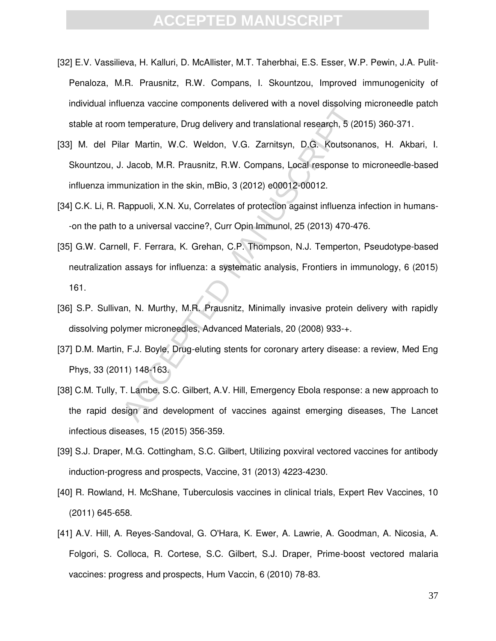- [32] E.V. Vassilieva, H. Kalluri, D. McAllister, M.T. Taherbhai, E.S. Esser, W.P. Pewin, J.A. Pulit-Penaloza, M.R. Prausnitz, R.W. Compans, I. Skountzou, Improved immunogenicity of individual influenza vaccine components delivered with a novel dissolving microneedle patch stable at room temperature, Drug delivery and translational research, 5 (2015) 360-371.
- [33] M. del Pilar Martin, W.C. Weldon, V.G. Zarnitsyn, D.G. Koutsonanos, H. Akbari, I. Skountzou, J. Jacob, M.R. Prausnitz, R.W. Compans, Local response to microneedle-based influenza immunization in the skin, mBio, 3 (2012) e00012-00012.
- [34] C.K. Li, R. Rappuoli, X.N. Xu, Correlates of protection against influenza infection in humans--on the path to a universal vaccine?, Curr Opin Immunol, 25 (2013) 470-476.
- n temperature components denvered with a hover dissolving<br>in temperature, Drug delivery and translational research, 5 (20<br>lar Martin, W.C. Weldon, V.G. Zarnitsyn, D.G. Koutsona<br>L. Jacob, M.R. Prausnitz, R.W. Compans, Local [35] G.W. Carnell, F. Ferrara, K. Grehan, C.P. Thompson, N.J. Temperton, Pseudotype-based neutralization assays for influenza: a systematic analysis, Frontiers in immunology, 6 (2015) 161.
- [36] S.P. Sullivan, N. Murthy, M.R. Prausnitz, Minimally invasive protein delivery with rapidly dissolving polymer microneedles, Advanced Materials, 20 (2008) 933-+.
- [37] D.M. Martin, F.J. Boyle, Drug-eluting stents for coronary artery disease: a review, Med Eng Phys, 33 (2011) 148-163.
- [38] C.M. Tully, T. Lambe, S.C. Gilbert, A.V. Hill, Emergency Ebola response: a new approach to the rapid design and development of vaccines against emerging diseases, The Lancet infectious diseases, 15 (2015) 356-359.
- [39] S.J. Draper, M.G. Cottingham, S.C. Gilbert, Utilizing poxviral vectored vaccines for antibody induction-progress and prospects, Vaccine, 31 (2013) 4223-4230.
- [40] R. Rowland, H. McShane, Tuberculosis vaccines in clinical trials, Expert Rev Vaccines, 10 (2011) 645-658.
- [41] A.V. Hill, A. Reyes-Sandoval, G. O'Hara, K. Ewer, A. Lawrie, A. Goodman, A. Nicosia, A. Folgori, S. Colloca, R. Cortese, S.C. Gilbert, S.J. Draper, Prime-boost vectored malaria vaccines: progress and prospects, Hum Vaccin, 6 (2010) 78-83.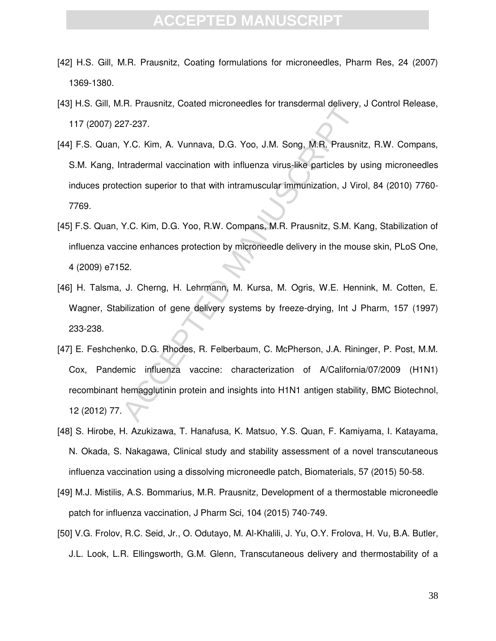### **CCEPTED MANU**

- [42] H.S. Gill, M.R. Prausnitz, Coating formulations for microneedles, Pharm Res, 24 (2007) 1369-1380.
- [43] H.S. Gill, M.R. Prausnitz, Coated microneedles for transdermal delivery, J Control Release, 117 (2007) 227-237.
- [44] F.S. Quan, Y.C. Kim, A. Vunnava, D.G. Yoo, J.M. Song, M.R. Prausnitz, R.W. Compans, S.M. Kang, Intradermal vaccination with influenza virus-like particles by using microneedles induces protection superior to that with intramuscular immunization, J Virol, 84 (2010) 7760- 7769.
- [45] F.S. Quan, Y.C. Kim, D.G. Yoo, R.W. Compans, M.R. Prausnitz, S.M. Kang, Stabilization of influenza vaccine enhances protection by microneedle delivery in the mouse skin, PLoS One, 4 (2009) e7152.
- [46] H. Talsma, J. Cherng, H. Lehrmann, M. Kursa, M. Ogris, W.E. Hennink, M. Cotten, E. Wagner, Stabilization of gene delivery systems by freeze-drying, Int J Pharm, 157 (1997) 233-238.
- 27-237.<br>
27-237.<br>
27-237.<br>
27-237.<br>
27-237.<br>
27.237.<br>
27.237.<br>
27.237.<br>
27.237.<br>
27.237.<br>
27.237.<br>
27.237.<br>
27.237.<br>
27.05. Xim, A. Vunnava, D.G. Yoo, J.M. Song, M.R. Prausnitz, S.M. King<br>
28.<br>
29. King D.G. Yoo, R.W. Comp [47] E. Feshchenko, D.G. Rhodes, R. Felberbaum, C. McPherson, J.A. Rininger, P. Post, M.M. Cox, Pandemic influenza vaccine: characterization of A/California/07/2009 (H1N1) recombinant hemagglutinin protein and insights into H1N1 antigen stability, BMC Biotechnol, 12 (2012) 77.
- [48] S. Hirobe, H. Azukizawa, T. Hanafusa, K. Matsuo, Y.S. Quan, F. Kamiyama, I. Katayama, N. Okada, S. Nakagawa, Clinical study and stability assessment of a novel transcutaneous influenza vaccination using a dissolving microneedle patch, Biomaterials, 57 (2015) 50-58.
- [49] M.J. Mistilis, A.S. Bommarius, M.R. Prausnitz, Development of a thermostable microneedle patch for influenza vaccination, J Pharm Sci, 104 (2015) 740-749.
- [50] V.G. Frolov, R.C. Seid, Jr., O. Odutayo, M. Al-Khalili, J. Yu, O.Y. Frolova, H. Vu, B.A. Butler, J.L. Look, L.R. Ellingsworth, G.M. Glenn, Transcutaneous delivery and thermostability of a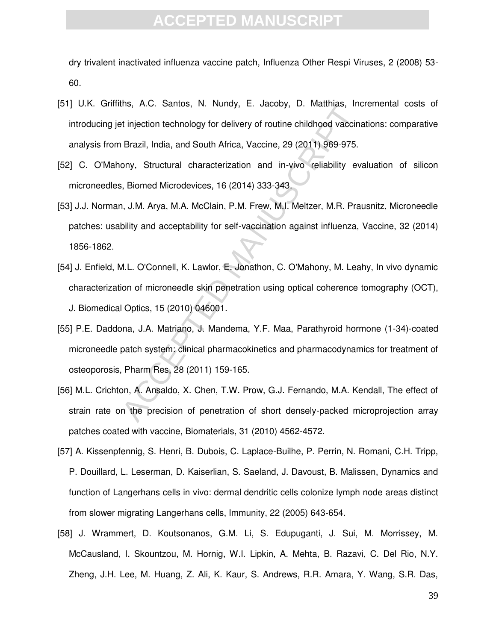dry trivalent inactivated influenza vaccine patch, Influenza Other Respi Viruses, 2 (2008) 53- 60.

- [51] U.K. Griffiths, A.C. Santos, N. Nundy, E. Jacoby, D. Matthias, Incremental costs of introducing jet injection technology for delivery of routine childhood vaccinations: comparative analysis from Brazil, India, and South Africa, Vaccine, 29 (2011) 969-975.
- [52] C. O'Mahony, Structural characterization and in-vivo reliability evaluation of silicon microneedles, Biomed Microdevices, 16 (2014) 333-343.
- [53] J.J. Norman, J.M. Arya, M.A. McClain, P.M. Frew, M.I. Meltzer, M.R. Prausnitz, Microneedle patches: usability and acceptability for self-vaccination against influenza, Vaccine, 32 (2014) 1856-1862.
- [54] J. Enfield, M.L. O'Connell, K. Lawlor, E. Jonathon, C. O'Mahony, M. Leahy, In vivo dynamic characterization of microneedle skin penetration using optical coherence tomography (OCT), J. Biomedical Optics, 15 (2010) 046001.
- man, A.O. Samos, W. Hanny, E. Sacoby, D. Matimas, Im<br>ti injection technology for delivery of routine childhood vaccin<br>Brazil, India, and South Africa, Vaccine, 29 (2011) 969-975.<br>Ony, Structural characterization and in-viv [55] P.E. Daddona, J.A. Matriano, J. Mandema, Y.F. Maa, Parathyroid hormone (1-34)-coated microneedle patch system: clinical pharmacokinetics and pharmacodynamics for treatment of osteoporosis, Pharm Res, 28 (2011) 159-165.
- [56] M.L. Crichton, A. Ansaldo, X. Chen, T.W. Prow, G.J. Fernando, M.A. Kendall, The effect of strain rate on the precision of penetration of short densely-packed microprojection array patches coated with vaccine, Biomaterials, 31 (2010) 4562-4572.
- [57] A. Kissenpfennig, S. Henri, B. Dubois, C. Laplace-Builhe, P. Perrin, N. Romani, C.H. Tripp, P. Douillard, L. Leserman, D. Kaiserlian, S. Saeland, J. Davoust, B. Malissen, Dynamics and function of Langerhans cells in vivo: dermal dendritic cells colonize lymph node areas distinct from slower migrating Langerhans cells, Immunity, 22 (2005) 643-654.
- [58] J. Wrammert, D. Koutsonanos, G.M. Li, S. Edupuganti, J. Sui, M. Morrissey, M. McCausland, I. Skountzou, M. Hornig, W.I. Lipkin, A. Mehta, B. Razavi, C. Del Rio, N.Y. Zheng, J.H. Lee, M. Huang, Z. Ali, K. Kaur, S. Andrews, R.R. Amara, Y. Wang, S.R. Das,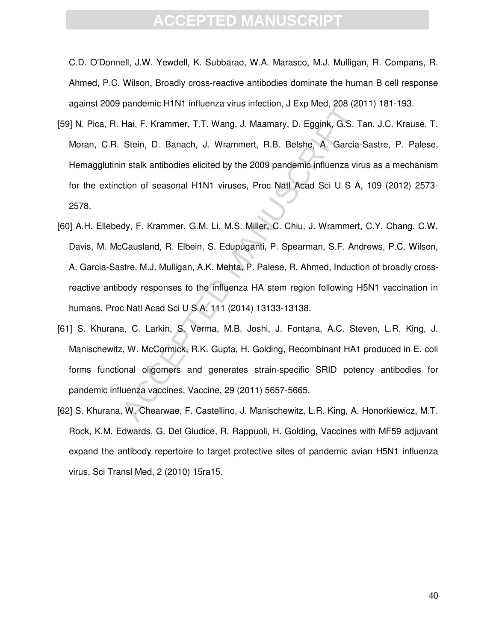C.D. O'Donnell, J.W. Yewdell, K. Subbarao, W.A. Marasco, M.J. Mulligan, R. Compans, R. Ahmed, P.C. Wilson, Broadly cross-reactive antibodies dominate the human B cell response against 2009 pandemic H1N1 influenza virus infection, J Exp Med, 208 (2011) 181-193.

- particular minimizar virus intection, 5 Lxp weed, 200 (20<br>Hai, F. Krammer, T.T. Wang, J. Maamary, D. Eggink, G.S. T<br>Stein, D. Banach, J. Wrammert, R.B. Belshe, A. Garcia-<br>in stalk antibodies elicited by the 2009 pandemic i [59] N. Pica, R. Hai, F. Krammer, T.T. Wang, J. Maamary, D. Eggink, G.S. Tan, J.C. Krause, T. Moran, C.R. Stein, D. Banach, J. Wrammert, R.B. Belshe, A. Garcia-Sastre, P. Palese, Hemagglutinin stalk antibodies elicited by the 2009 pandemic influenza virus as a mechanism for the extinction of seasonal H1N1 viruses, Proc Natl Acad Sci U S A, 109 (2012) 2573- 2578.
- [60] A.H. Ellebedy, F. Krammer, G.M. Li, M.S. Miller, C. Chiu, J. Wrammert, C.Y. Chang, C.W. Davis, M. McCausland, R. Elbein, S. Edupuganti, P. Spearman, S.F. Andrews, P.C. Wilson, A. Garcia-Sastre, M.J. Mulligan, A.K. Mehta, P. Palese, R. Ahmed, Induction of broadly crossreactive antibody responses to the influenza HA stem region following H5N1 vaccination in humans, Proc Natl Acad Sci U S A, 111 (2014) 13133-13138.
- [61] S. Khurana, C. Larkin, S. Verma, M.B. Joshi, J. Fontana, A.C. Steven, L.R. King, J. Manischewitz, W. McCormick, R.K. Gupta, H. Golding, Recombinant HA1 produced in E. coli forms functional oligomers and generates strain-specific SRID potency antibodies for pandemic influenza vaccines, Vaccine, 29 (2011) 5657-5665.
- [62] S. Khurana, W. Chearwae, F. Castellino, J. Manischewitz, L.R. King, A. Honorkiewicz, M.T. Rock, K.M. Edwards, G. Del Giudice, R. Rappuoli, H. Golding, Vaccines with MF59 adjuvant expand the antibody repertoire to target protective sites of pandemic avian H5N1 influenza virus, Sci Transl Med, 2 (2010) 15ra15.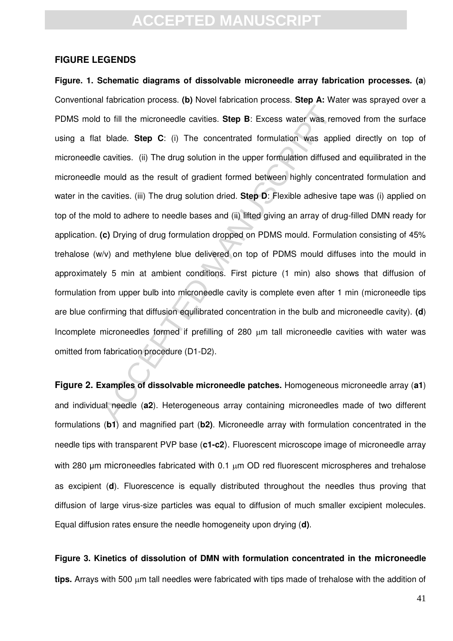#### **FIGURE LEGENDS**

1 to fill the microneedle cavities. **Step B**: Excess water was rent blade. **Step C**: (i) The concentrated formulation was apple cavities. (ii) The drug solution in the upper formulation diffused remould as the result of g **Figure. 1. Schematic diagrams of dissolvable microneedle array fabrication processes. (a**) Conventional fabrication process. **(b)** Novel fabrication process. **Step A:** Water was sprayed over a PDMS mold to fill the microneedle cavities. **Step B**: Excess water was removed from the surface using a flat blade. **Step C**: (i) The concentrated formulation was applied directly on top of microneedle cavities. (ii) The drug solution in the upper formulation diffused and equilibrated in the microneedle mould as the result of gradient formed between highly concentrated formulation and water in the cavities. (iii) The drug solution dried. **Step D**: Flexible adhesive tape was (i) applied on top of the mold to adhere to needle bases and (ii) lifted giving an array of drug-filled DMN ready for application. **(c)** Drying of drug formulation dropped on PDMS mould. Formulation consisting of 45% trehalose (w/v) and methylene blue delivered on top of PDMS mould diffuses into the mould in approximately 5 min at ambient conditions. First picture (1 min) also shows that diffusion of formulation from upper bulb into microneedle cavity is complete even after 1 min (microneedle tips are blue confirming that diffusion equilibrated concentration in the bulb and microneedle cavity). **(d**) Incomplete microneedles formed if prefilling of 280 um tall microneedle cavities with water was omitted from fabrication procedure (D1-D2).

**Figure 2. Examples of dissolvable microneedle patches.** Homogeneous microneedle array (**a1**) and individual needle (**a2**). Heterogeneous array containing microneedles made of two different formulations (**b1**) and magnified part (**b2)**. Microneedle array with formulation concentrated in the needle tips with transparent PVP base (**c1-c2**). Fluorescent microscope image of microneedle array with 280 um microneedles fabricated with 0.1 um OD red fluorescent microspheres and trehalose as excipient (**d**). Fluorescence is equally distributed throughout the needles thus proving that diffusion of large virus-size particles was equal to diffusion of much smaller excipient molecules. Equal diffusion rates ensure the needle homogeneity upon drying (**d)**.

**Figure 3. Kinetics of dissolution of DMN with formulation concentrated in the microneedle**  tips. Arrays with 500 um tall needles were fabricated with tips made of trehalose with the addition of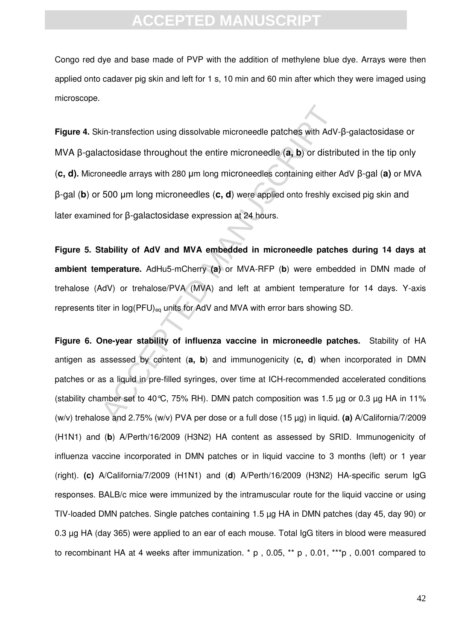Congo red dye and base made of PVP with the addition of methylene blue dye. Arrays were then applied onto cadaver pig skin and left for 1 s, 10 min and 60 min after which they were imaged using microscope.

sin-transfection using dissolvable microneedle patches with AdV-<br>actosidase throughout the entire microneedles (a, b) or distrik<br>pneedle arrays with 280  $\mu$ m long microneedles containing either .<br>500  $\mu$ m long microneed **Figure 4.** Skin-transfection using dissolvable microneedle patches with AdV-B-galactosidase or MVA  $\beta$ -galactosidase throughout the entire microneedle (a, b) or distributed in the tip only (c, d). Microneedle arrays with 280 μm long microneedles containing either AdV β-gal (a) or MVA  $β$ -gal (**b**) or 500 μm long microneedles (**c, d**) were applied onto freshly excised pig skin and later examined for B-galactosidase expression at 24 hours.

**Figure 5. Stability of AdV and MVA embedded in microneedle patches during 14 days at ambient temperature.** AdHu5-mCherry **(a)** or MVA-RFP (**b**) were embedded in DMN made of trehalose (AdV) or trehalose/PVA (MVA) and left at ambient temperature for 14 days. Y-axis represents titer in  $log(PFU)_{\text{eq}}$  units for AdV and MVA with error bars showing SD.

**Figure 6. One-year stability of influenza vaccine in microneedle patches.** Stability of HA antigen as assessed by content (**a, b**) and immunogenicity (**c, d**) when incorporated in DMN patches or as a liquid in pre-filled syringes, over time at ICH-recommended accelerated conditions (stability chamber set to 40°C, 75% RH). DMN patch composition was 1.5  $\mu$ q or 0.3  $\mu$ q HA in 11% (w/v) trehalose and 2.75% (w/v) PVA per dose or a full dose (15 µg) in liquid. **(a)** A/California/7/2009 (H1N1) and (**b**) A/Perth/16/2009 (H3N2) HA content as assessed by SRID. Immunogenicity of influenza vaccine incorporated in DMN patches or in liquid vaccine to 3 months (left) or 1 year (right). **(c)** A/California/7/2009 (H1N1) and (**d**) A/Perth/16/2009 (H3N2) HA-specific serum IgG responses. BALB/c mice were immunized by the intramuscular route for the liquid vaccine or using TIV-loaded DMN patches. Single patches containing 1.5 µg HA in DMN patches (day 45, day 90) or 0.3 µg HA (day 365) were applied to an ear of each mouse. Total IgG titers in blood were measured to recombinant HA at 4 weeks after immunization. \* p , 0.05, \*\* p , 0.01, \*\*\*p , 0.001 compared to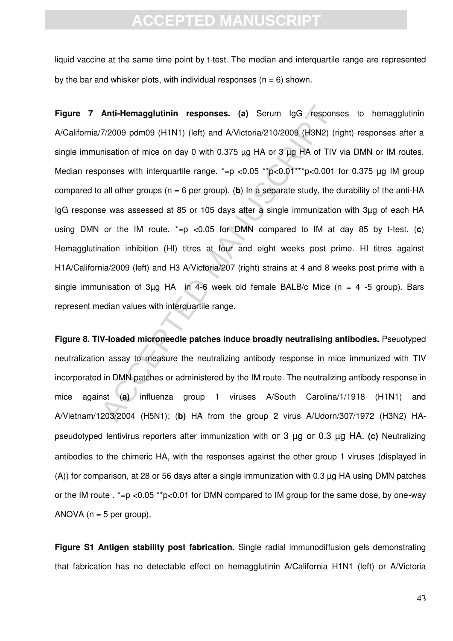liquid vaccine at the same time point by t-test. The median and interquartile range are represented by the bar and whisker plots, with individual responses ( $n = 6$ ) shown.

**Anti-Hemagglutinin responses.** (a) Serum IgG respons<br>77/2009 pdm09 (H1N1) (left) and AVictoria/210/2009 (H3N2) (ri<br>misation of mice on day 0 with 0.375 µg HA or 3 µg HA of TIV<br>oonses with interquartile range.  $* = p < 0.0$ **Figure 7 Anti-Hemagglutinin responses. (a)** Serum IgG responses to hemagglutinin A/California/7/2009 pdm09 (H1N1) (left) and A/Victoria/210/2009 (H3N2) (right) responses after a single immunisation of mice on day 0 with 0.375  $\mu$ g HA or 3  $\mu$ g HA of TIV via DMN or IM routes. Median responses with interquartile range.  $*=p$  <0.05  $*p$ <0.01 $*p$  <0.001 for 0.375 µg IM group compared to all other groups (n = 6 per group). (**b**) In a separate study, the durability of the anti-HA IgG response was assessed at 85 or 105 days after a single immunization with 3µg of each HA using DMN or the IM route. \*=p <0.05 for DMN compared to IM at day 85 by t-test. (**c**) Hemagglutination inhibition (HI) titres at four and eight weeks post prime. HI titres against H1A/California/2009 (left) and H3 A/Victoria/207 (right) strains at 4 and 8 weeks post prime with a single immunisation of 3µg HA in 4-6 week old female BALB/c Mice ( $n = 4$  -5 group). Bars represent median values with interquartile range.

**Figure 8. TIV-loaded microneedle patches induce broadly neutralising antibodies.** Pseuotyped neutralization assay to measure the neutralizing antibody response in mice immunized with TIV incorporated in DMN patches or administered by the IM route. The neutralizing antibody response in mice against (**a)** influenza group 1 viruses A/South Carolina/1/1918 (H1N1) and A/Vietnam/1203/2004 (H5N1); (**b)** HA from the group 2 virus A/Udorn/307/1972 (H3N2) HApseudotyped lentivirus reporters after immunization with or 3 µg or 0.3 µg HA. **(c)** Neutralizing antibodies to the chimeric HA, with the responses against the other group 1 viruses (displayed in (A)) for comparison, at 28 or 56 days after a single immunization with 0.3 µg HA using DMN patches or the IM route .  $*=p$  <0.05  $*p$ <0.01 for DMN compared to IM group for the same dose, by one-way ANOVA ( $n = 5$  per group).

**Figure S1 Antigen stability post fabrication.** Single radial immunodiffusion gels demonstrating that fabrication has no detectable effect on hemagglutinin A/California H1N1 (left) or A/Victoria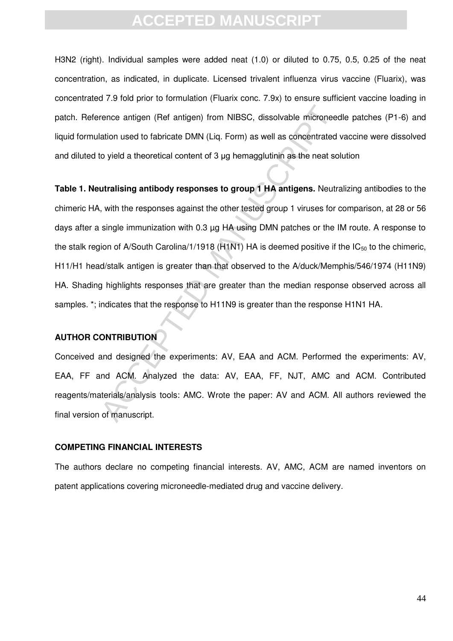H3N2 (right). Individual samples were added neat (1.0) or diluted to 0.75, 0.5, 0.25 of the neat concentration, as indicated, in duplicate. Licensed trivalent influenza virus vaccine (Fluarix), was concentrated 7.9 fold prior to formulation (Fluarix conc. 7.9x) to ensure sufficient vaccine loading in patch. Reference antigen (Ref antigen) from NIBSC, dissolvable microneedle patches (P1-6) and liquid formulation used to fabricate DMN (Liq. Form) as well as concentrated vaccine were dissolved and diluted to yield a theoretical content of  $3 \mu$ g hemagglutinin as the neat solution

rence antigen (Ref antigen) from NIBSC, dissolvable microneed<br>ation used to fabricate DMN (Liq. Form) as well as concentrated<br>to yield a theoretical content of 3 µg hemagglutinin as the neat so<br>utralising antibody response **Table 1. Neutralising antibody responses to group 1 HA antigens.** Neutralizing antibodies to the chimeric HA, with the responses against the other tested group 1 viruses for comparison, at 28 or 56 days after a single immunization with 0.3 µg HA using DMN patches or the IM route. A response to the stalk region of A/South Carolina/1/1918 (H1N1) HA is deemed positive if the  $IC_{50}$  to the chimeric, H11/H1 head/stalk antigen is greater than that observed to the A/duck/Memphis/546/1974 (H11N9) HA. Shading highlights responses that are greater than the median response observed across all samples. \*; indicates that the response to H11N9 is greater than the response H1N1 HA.

#### **AUTHOR CONTRIBUTION**

Conceived and designed the experiments: AV, EAA and ACM. Performed the experiments: AV, EAA, FF and ACM. Analyzed the data: AV, EAA, FF, NJT, AMC and ACM. Contributed reagents/materials/analysis tools: AMC. Wrote the paper: AV and ACM. All authors reviewed the final version of manuscript.

#### **COMPETING FINANCIAL INTERESTS**

The authors declare no competing financial interests. AV, AMC, ACM are named inventors on patent applications covering microneedle-mediated drug and vaccine delivery.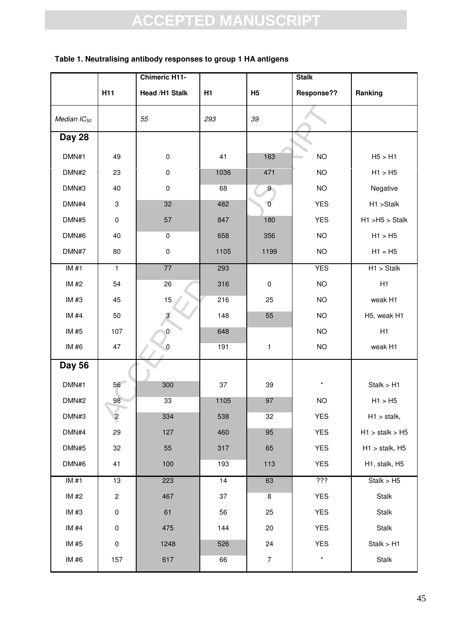### ACCEPTED MANUSCRIPT **H11 Chimeric H11- Head /H1 Stalk H1 H5 Stalk Response?? Ranking** *Median IC50 55 293 39* **Day 28**  DMN#1 49 0 41 163 NO H5 > H1 DMN#2 23 0 1036 471 NO H1 > H5 DMN#3 | 40 | 0 | 68 | 9 | NO | Negative DMN#4 | 3 | 32 | 482 | 0 | YES | H1 >Stalk DMN#5 0 57 847 180 YES H1 >H5 > Stalk DMN#6 | 40 | 0 | 658 | 356 | NO | H1 > H5 DMN#7 80 0 1105 1199 NO H1 = H5 IM #1 1 77 293 YES H1 > Stalk IM #2 54 26 316 0 NO H1 IM #3 45 15 216 25 NO weak H1 IM #4 50 3 148 55 NO H5, weak H1 IM #5 | 107 | 0 | 648 | NO | H1 IM #6 47 0 191 1 NO weak H1 **Day 56** DMN#1 56 300 37 39 \* Stalk > H1 DMN#2 98 33 1105 97 NO H1 > H5 DMN#3 | 2 | 334 | 538 | 32 | YES | H1 > stalk, DMN#4 29 127 460 95 YES H1 > stalk > H5 DMN#5 32 55 317 65 YES H1 > stalk, H5 DMN#6 41 100 193 113 YES H1, stalk, H5 IM #1 13 223 14 63 ??? Stalk > H5 IM #2 | 2 | 467 | 37 | 8 | YES | Stalk IM #3 | 0 | 61 | 56 | 25 | YES | Stalk IM #4 0 475 144 20 YES Stalk IM #5 0 1248 526 24 YES Stalk > H1 IM #6 | 157 | 617 | 66 | 7 | \* | Stalk

#### **Table 1. Neutralising antibody responses to group 1 HA antigens**